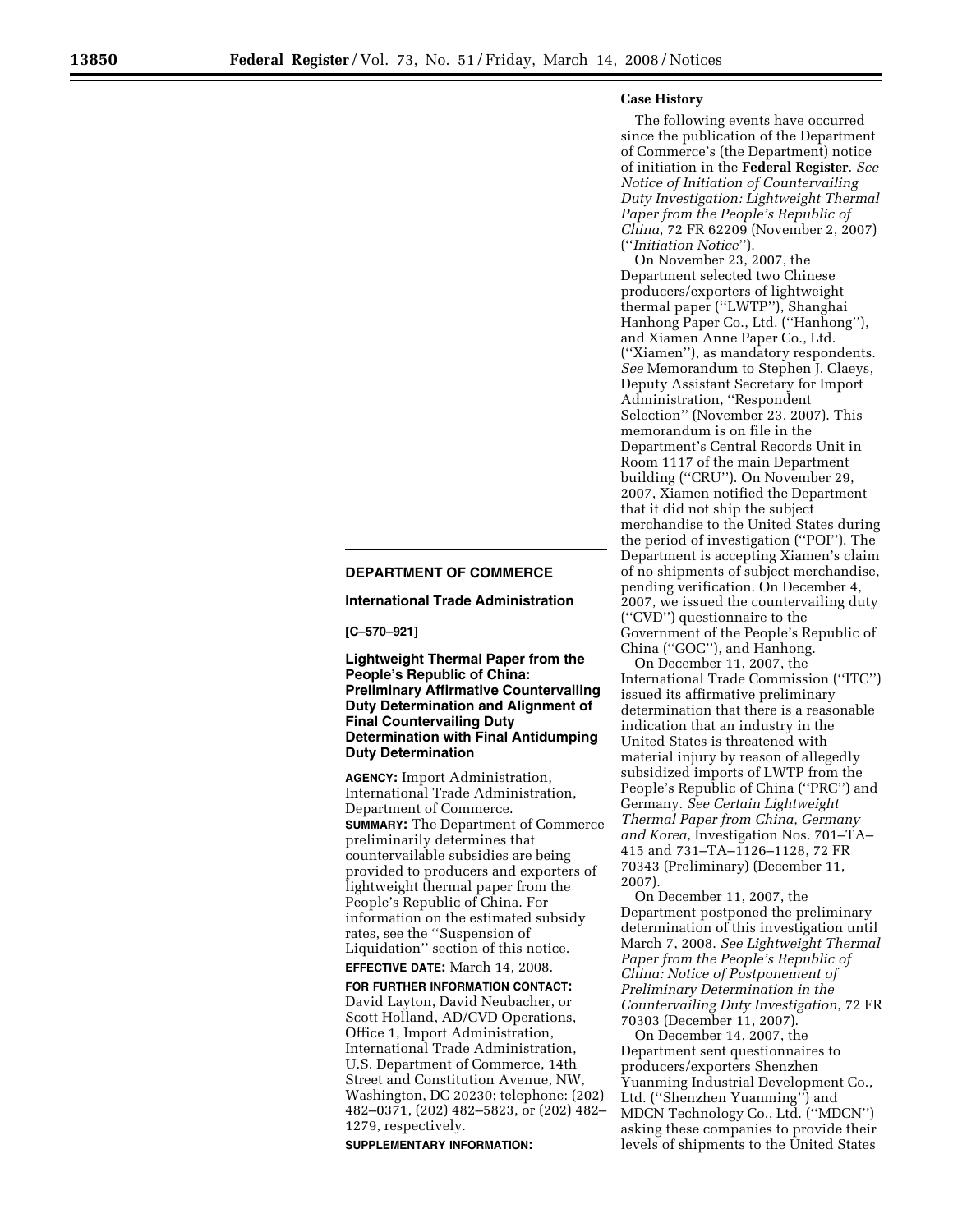### **Case History**

The following events have occurred since the publication of the Department of Commerce's (the Department) notice of initiation in the **Federal Register**. *See Notice of Initiation of Countervailing Duty Investigation: Lightweight Thermal Paper from the People's Republic of China*, 72 FR 62209 (November 2, 2007) (''*Initiation Notice*'').

On November 23, 2007, the Department selected two Chinese producers/exporters of lightweight thermal paper (''LWTP''), Shanghai Hanhong Paper Co., Ltd. (''Hanhong''), and Xiamen Anne Paper Co., Ltd. (''Xiamen''), as mandatory respondents. *See* Memorandum to Stephen J. Claeys, Deputy Assistant Secretary for Import Administration, ''Respondent Selection'' (November 23, 2007). This memorandum is on file in the Department's Central Records Unit in Room 1117 of the main Department building (''CRU''). On November 29, 2007, Xiamen notified the Department that it did not ship the subject merchandise to the United States during the period of investigation (''POI''). The Department is accepting Xiamen's claim of no shipments of subject merchandise, pending verification. On December 4, 2007, we issued the countervailing duty (''CVD'') questionnaire to the Government of the People's Republic of China (''GOC''), and Hanhong.

On December 11, 2007, the International Trade Commission (''ITC'') issued its affirmative preliminary determination that there is a reasonable indication that an industry in the United States is threatened with material injury by reason of allegedly subsidized imports of LWTP from the People's Republic of China (''PRC'') and Germany. *See Certain Lightweight Thermal Paper from China, Germany and Korea*, Investigation Nos. 701–TA– 415 and 731–TA–1126–1128, 72 FR 70343 (Preliminary) (December 11, 2007).

On December 11, 2007, the Department postponed the preliminary determination of this investigation until March 7, 2008. *See Lightweight Thermal Paper from the People's Republic of China: Notice of Postponement of Preliminary Determination in the Countervailing Duty Investigation*, 72 FR 70303 (December 11, 2007).

On December 14, 2007, the Department sent questionnaires to producers/exporters Shenzhen Yuanming Industrial Development Co., Ltd. (''Shenzhen Yuanming'') and MDCN Technology Co., Ltd. (''MDCN'') asking these companies to provide their levels of shipments to the United States

# **DEPARTMENT OF COMMERCE**

**International Trade Administration** 

**[C–570–921]** 

**Lightweight Thermal Paper from the People's Republic of China: Preliminary Affirmative Countervailing Duty Determination and Alignment of Final Countervailing Duty Determination with Final Antidumping Duty Determination** 

**AGENCY:** Import Administration, International Trade Administration, Department of Commerce. **SUMMARY:** The Department of Commerce preliminarily determines that countervailable subsidies are being provided to producers and exporters of lightweight thermal paper from the People's Republic of China. For information on the estimated subsidy rates, see the ''Suspension of Liquidation'' section of this notice.

**EFFECTIVE DATE:** March 14, 2008.

**FOR FURTHER INFORMATION CONTACT:**  David Layton, David Neubacher, or Scott Holland, AD/CVD Operations, Office 1, Import Administration, International Trade Administration, U.S. Department of Commerce, 14th Street and Constitution Avenue, NW, Washington, DC 20230; telephone: (202) 482–0371, (202) 482–5823, or (202) 482– 1279, respectively.

**SUPPLEMENTARY INFORMATION:**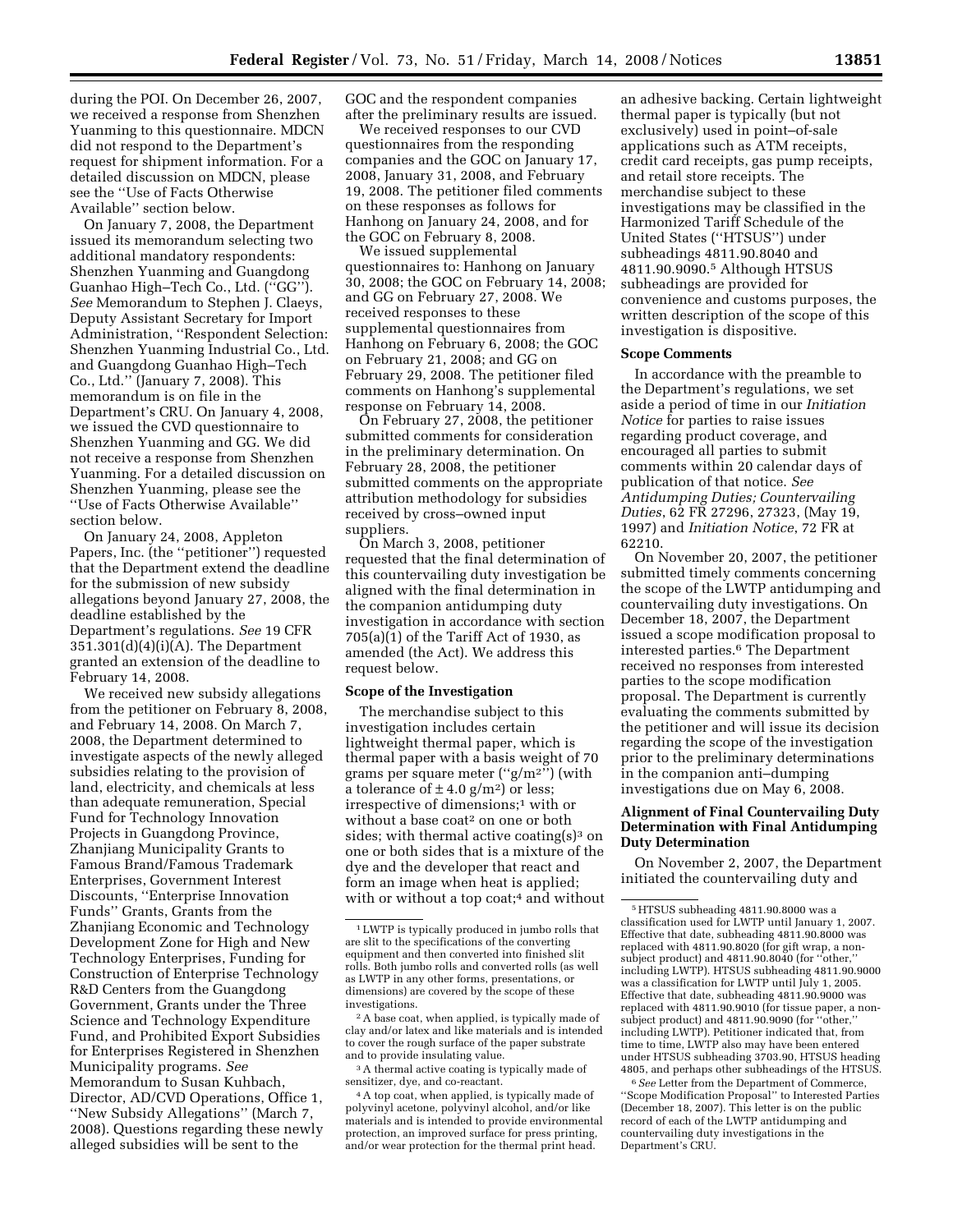during the POI. On December 26, 2007, we received a response from Shenzhen Yuanming to this questionnaire. MDCN did not respond to the Department's request for shipment information. For a detailed discussion on MDCN, please see the ''Use of Facts Otherwise Available'' section below.

On January 7, 2008, the Department issued its memorandum selecting two additional mandatory respondents: Shenzhen Yuanming and Guangdong Guanhao High–Tech Co., Ltd. (''GG''). *See* Memorandum to Stephen J. Claeys, Deputy Assistant Secretary for Import Administration, ''Respondent Selection: Shenzhen Yuanming Industrial Co., Ltd. and Guangdong Guanhao High–Tech Co., Ltd.'' (January 7, 2008). This memorandum is on file in the Department's CRU. On January 4, 2008, we issued the CVD questionnaire to Shenzhen Yuanming and GG. We did not receive a response from Shenzhen Yuanming. For a detailed discussion on Shenzhen Yuanming, please see the ''Use of Facts Otherwise Available'' section below.

On January 24, 2008, Appleton Papers, Inc. (the ''petitioner'') requested that the Department extend the deadline for the submission of new subsidy allegations beyond January 27, 2008, the deadline established by the Department's regulations. *See* 19 CFR 351.301(d)(4)(i)(A). The Department granted an extension of the deadline to February 14, 2008.

We received new subsidy allegations from the petitioner on February 8, 2008, and February 14, 2008. On March 7, 2008, the Department determined to investigate aspects of the newly alleged subsidies relating to the provision of land, electricity, and chemicals at less than adequate remuneration, Special Fund for Technology Innovation Projects in Guangdong Province, Zhanjiang Municipality Grants to Famous Brand/Famous Trademark Enterprises, Government Interest Discounts, ''Enterprise Innovation Funds'' Grants, Grants from the Zhanjiang Economic and Technology Development Zone for High and New Technology Enterprises, Funding for Construction of Enterprise Technology R&D Centers from the Guangdong Government, Grants under the Three Science and Technology Expenditure Fund, and Prohibited Export Subsidies for Enterprises Registered in Shenzhen Municipality programs. *See*  Memorandum to Susan Kuhbach, Director, AD/CVD Operations, Office 1, ''New Subsidy Allegations'' (March 7, 2008). Questions regarding these newly alleged subsidies will be sent to the

GOC and the respondent companies after the preliminary results are issued.

We received responses to our CVD questionnaires from the responding companies and the GOC on January 17, 2008, January 31, 2008, and February 19, 2008. The petitioner filed comments on these responses as follows for Hanhong on January 24, 2008, and for the GOC on February 8, 2008.

We issued supplemental questionnaires to: Hanhong on January 30, 2008; the GOC on February 14, 2008; and GG on February 27, 2008. We received responses to these supplemental questionnaires from Hanhong on February 6, 2008; the GOC on February 21, 2008; and GG on February 29, 2008. The petitioner filed comments on Hanhong's supplemental response on February 14, 2008.

On February 27, 2008, the petitioner submitted comments for consideration in the preliminary determination. On February 28, 2008, the petitioner submitted comments on the appropriate attribution methodology for subsidies received by cross–owned input suppliers.

On March 3, 2008, petitioner requested that the final determination of this countervailing duty investigation be aligned with the final determination in the companion antidumping duty investigation in accordance with section 705(a)(1) of the Tariff Act of 1930, as amended (the Act). We address this request below.

#### **Scope of the Investigation**

The merchandise subject to this investigation includes certain lightweight thermal paper, which is thermal paper with a basis weight of 70 grams per square meter (" $g/m^2$ ") (with a tolerance of  $\pm$  4.0 g/m<sup>2</sup>) or less; irrespective of dimensions;1 with or without a base coat<sup>2</sup> on one or both sides; with thermal active coating $(s)$ <sup>3</sup> on one or both sides that is a mixture of the dye and the developer that react and form an image when heat is applied; with or without a top coat;<sup>4</sup> and without

3A thermal active coating is typically made of sensitizer, dye, and co-reactant.

4A top coat, when applied, is typically made of polyvinyl acetone, polyvinyl alcohol, and/or like materials and is intended to provide environmental protection, an improved surface for press printing, and/or wear protection for the thermal print head.

an adhesive backing. Certain lightweight thermal paper is typically (but not exclusively) used in point–of-sale applications such as ATM receipts, credit card receipts, gas pump receipts, and retail store receipts. The merchandise subject to these investigations may be classified in the Harmonized Tariff Schedule of the United States (''HTSUS'') under subheadings 4811.90.8040 and 4811.90.9090.5 Although HTSUS subheadings are provided for convenience and customs purposes, the written description of the scope of this investigation is dispositive.

#### **Scope Comments**

In accordance with the preamble to the Department's regulations, we set aside a period of time in our *Initiation Notice* for parties to raise issues regarding product coverage, and encouraged all parties to submit comments within 20 calendar days of publication of that notice. *See Antidumping Duties; Countervailing Duties*, 62 FR 27296, 27323, (May 19, 1997) and *Initiation Notice*, 72 FR at 62210.

On November 20, 2007, the petitioner submitted timely comments concerning the scope of the LWTP antidumping and countervailing duty investigations. On December 18, 2007, the Department issued a scope modification proposal to interested parties.6 The Department received no responses from interested parties to the scope modification proposal. The Department is currently evaluating the comments submitted by the petitioner and will issue its decision regarding the scope of the investigation prior to the preliminary determinations in the companion anti–dumping investigations due on May 6, 2008.

### **Alignment of Final Countervailing Duty Determination with Final Antidumping Duty Determination**

On November 2, 2007, the Department initiated the countervailing duty and

6*See* Letter from the Department of Commerce, ''Scope Modification Proposal'' to Interested Parties (December 18, 2007). This letter is on the public record of each of the LWTP antidumping and countervailing duty investigations in the Department's CRU.

<sup>1</sup>LWTP is typically produced in jumbo rolls that are slit to the specifications of the converting equipment and then converted into finished slit rolls. Both jumbo rolls and converted rolls (as well as LWTP in any other forms, presentations, or dimensions) are covered by the scope of these investigations.

<sup>2</sup>A base coat, when applied, is typically made of clay and/or latex and like materials and is intended to cover the rough surface of the paper substrate and to provide insulating value.

<sup>5</sup>HTSUS subheading 4811.90.8000 was a classification used for LWTP until January 1, 2007. Effective that date, subheading 4811.90.8000 was replaced with 4811.90.8020 (for gift wrap, a nonsubject product) and 4811.90.8040 (for ''other,'' including LWTP). HTSUS subheading 4811.90.9000 was a classification for LWTP until July 1, 2005. Effective that date, subheading 4811.90.9000 was replaced with 4811.90.9010 (for tissue paper, a nonsubject product) and 4811.90.9090 (for ''other,'' including LWTP). Petitioner indicated that, from time to time, LWTP also may have been entered under HTSUS subheading 3703.90, HTSUS heading 4805, and perhaps other subheadings of the HTSUS.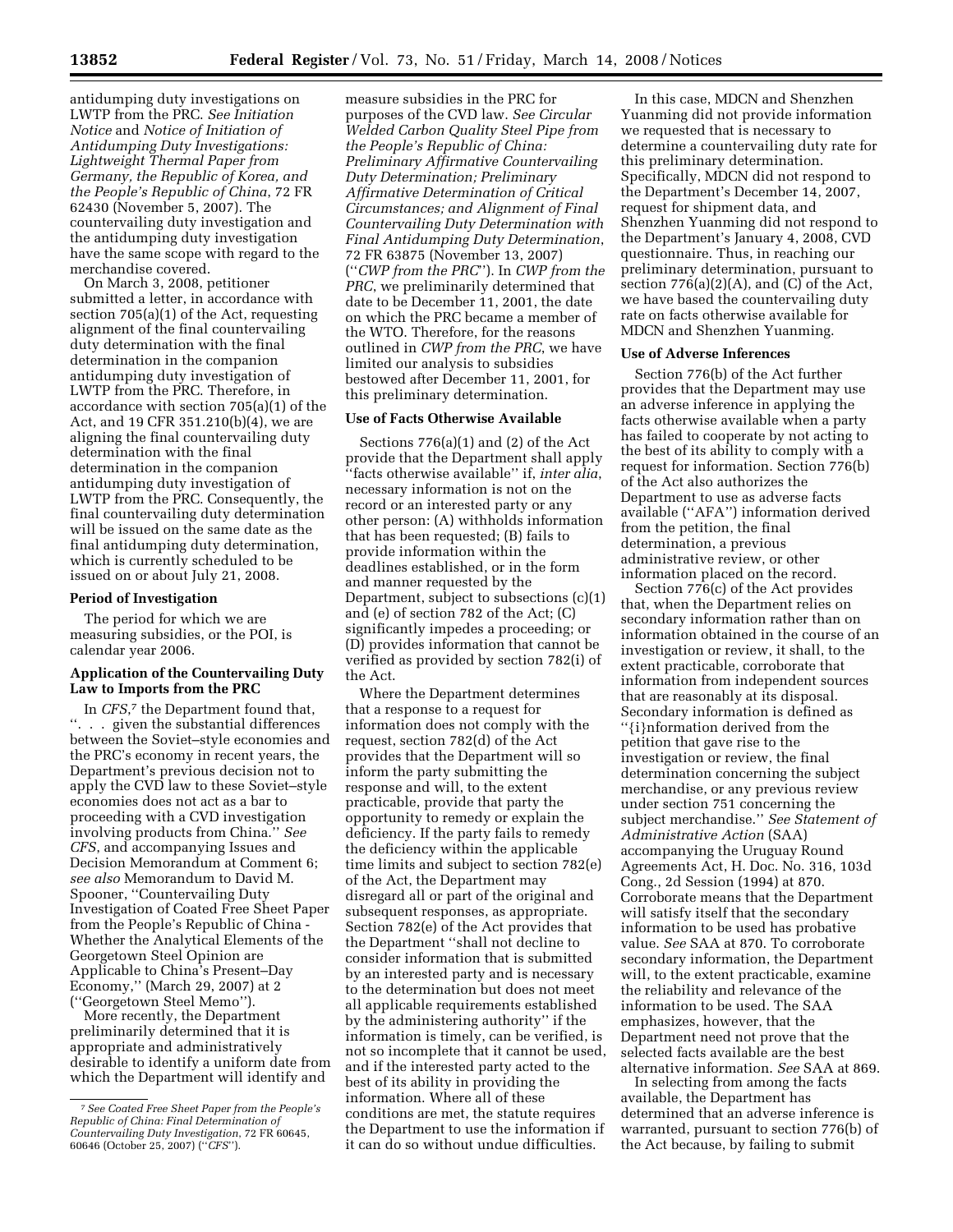antidumping duty investigations on LWTP from the PRC. *See Initiation Notice* and *Notice of Initiation of Antidumping Duty Investigations: Lightweight Thermal Paper from Germany, the Republic of Korea, and the People's Republic of China*, 72 FR 62430 (November 5, 2007). The countervailing duty investigation and the antidumping duty investigation have the same scope with regard to the merchandise covered.

On March 3, 2008, petitioner submitted a letter, in accordance with section 705(a)(1) of the Act, requesting alignment of the final countervailing duty determination with the final determination in the companion antidumping duty investigation of LWTP from the PRC. Therefore, in accordance with section 705(a)(1) of the Act, and 19 CFR 351.210(b)(4), we are aligning the final countervailing duty determination with the final determination in the companion antidumping duty investigation of LWTP from the PRC. Consequently, the final countervailing duty determination will be issued on the same date as the final antidumping duty determination, which is currently scheduled to be issued on or about July 21, 2008.

#### **Period of Investigation**

The period for which we are measuring subsidies, or the POI, is calendar year 2006.

#### **Application of the Countervailing Duty Law to Imports from the PRC**

In *CFS*,7 the Department found that, ''. . . given the substantial differences between the Soviet–style economies and the PRC's economy in recent years, the Department's previous decision not to apply the CVD law to these Soviet–style economies does not act as a bar to proceeding with a CVD investigation involving products from China.'' *See CFS*, and accompanying Issues and Decision Memorandum at Comment 6; *see also* Memorandum to David M. Spooner, ''Countervailing Duty Investigation of Coated Free Sheet Paper from the People's Republic of China - Whether the Analytical Elements of the Georgetown Steel Opinion are Applicable to China's Present–Day Economy,'' (March 29, 2007) at 2 (''Georgetown Steel Memo'').

More recently, the Department preliminarily determined that it is appropriate and administratively desirable to identify a uniform date from which the Department will identify and

measure subsidies in the PRC for purposes of the CVD law. *See Circular Welded Carbon Quality Steel Pipe from the People's Republic of China: Preliminary Affirmative Countervailing Duty Determination; Preliminary Affirmative Determination of Critical Circumstances; and Alignment of Final Countervailing Duty Determination with Final Antidumping Duty Determination*, 72 FR 63875 (November 13, 2007) (''*CWP from the PRC*''). In *CWP from the PRC*, we preliminarily determined that date to be December 11, 2001, the date on which the PRC became a member of the WTO. Therefore, for the reasons outlined in *CWP from the PRC*, we have limited our analysis to subsidies bestowed after December 11, 2001, for this preliminary determination.

## **Use of Facts Otherwise Available**

Sections 776(a)(1) and (2) of the Act provide that the Department shall apply ''facts otherwise available'' if, *inter alia*, necessary information is not on the record or an interested party or any other person: (A) withholds information that has been requested; (B) fails to provide information within the deadlines established, or in the form and manner requested by the Department, subject to subsections (c)(1) and (e) of section 782 of the Act; (C) significantly impedes a proceeding; or (D) provides information that cannot be verified as provided by section 782(i) of the Act.

Where the Department determines that a response to a request for information does not comply with the request, section 782(d) of the Act provides that the Department will so inform the party submitting the response and will, to the extent practicable, provide that party the opportunity to remedy or explain the deficiency. If the party fails to remedy the deficiency within the applicable time limits and subject to section 782(e) of the Act, the Department may disregard all or part of the original and subsequent responses, as appropriate. Section 782(e) of the Act provides that the Department ''shall not decline to consider information that is submitted by an interested party and is necessary to the determination but does not meet all applicable requirements established by the administering authority'' if the information is timely, can be verified, is not so incomplete that it cannot be used, and if the interested party acted to the best of its ability in providing the information. Where all of these conditions are met, the statute requires the Department to use the information if it can do so without undue difficulties.

In this case, MDCN and Shenzhen Yuanming did not provide information we requested that is necessary to determine a countervailing duty rate for this preliminary determination. Specifically, MDCN did not respond to the Department's December 14, 2007, request for shipment data, and Shenzhen Yuanming did not respond to the Department's January 4, 2008, CVD questionnaire. Thus, in reaching our preliminary determination, pursuant to section  $776(a)(2)(A)$ , and (C) of the Act, we have based the countervailing duty rate on facts otherwise available for MDCN and Shenzhen Yuanming.

#### **Use of Adverse Inferences**

Section 776(b) of the Act further provides that the Department may use an adverse inference in applying the facts otherwise available when a party has failed to cooperate by not acting to the best of its ability to comply with a request for information. Section 776(b) of the Act also authorizes the Department to use as adverse facts available (''AFA'') information derived from the petition, the final determination, a previous administrative review, or other information placed on the record.

Section 776(c) of the Act provides that, when the Department relies on secondary information rather than on information obtained in the course of an investigation or review, it shall, to the extent practicable, corroborate that information from independent sources that are reasonably at its disposal. Secondary information is defined as ''{i}nformation derived from the petition that gave rise to the investigation or review, the final determination concerning the subject merchandise, or any previous review under section 751 concerning the subject merchandise.'' *See Statement of Administrative Action* (SAA) accompanying the Uruguay Round Agreements Act, H. Doc. No. 316, 103d Cong., 2d Session (1994) at 870. Corroborate means that the Department will satisfy itself that the secondary information to be used has probative value. *See* SAA at 870. To corroborate secondary information, the Department will, to the extent practicable, examine the reliability and relevance of the information to be used. The SAA emphasizes, however, that the Department need not prove that the selected facts available are the best alternative information. *See* SAA at 869.

In selecting from among the facts available, the Department has determined that an adverse inference is warranted, pursuant to section 776(b) of the Act because, by failing to submit

<sup>7</sup>*See Coated Free Sheet Paper from the People's Republic of China: Final Determination of Countervailing Duty Investigation*, 72 FR 60645, 60646 (October 25, 2007) (''*CFS*'').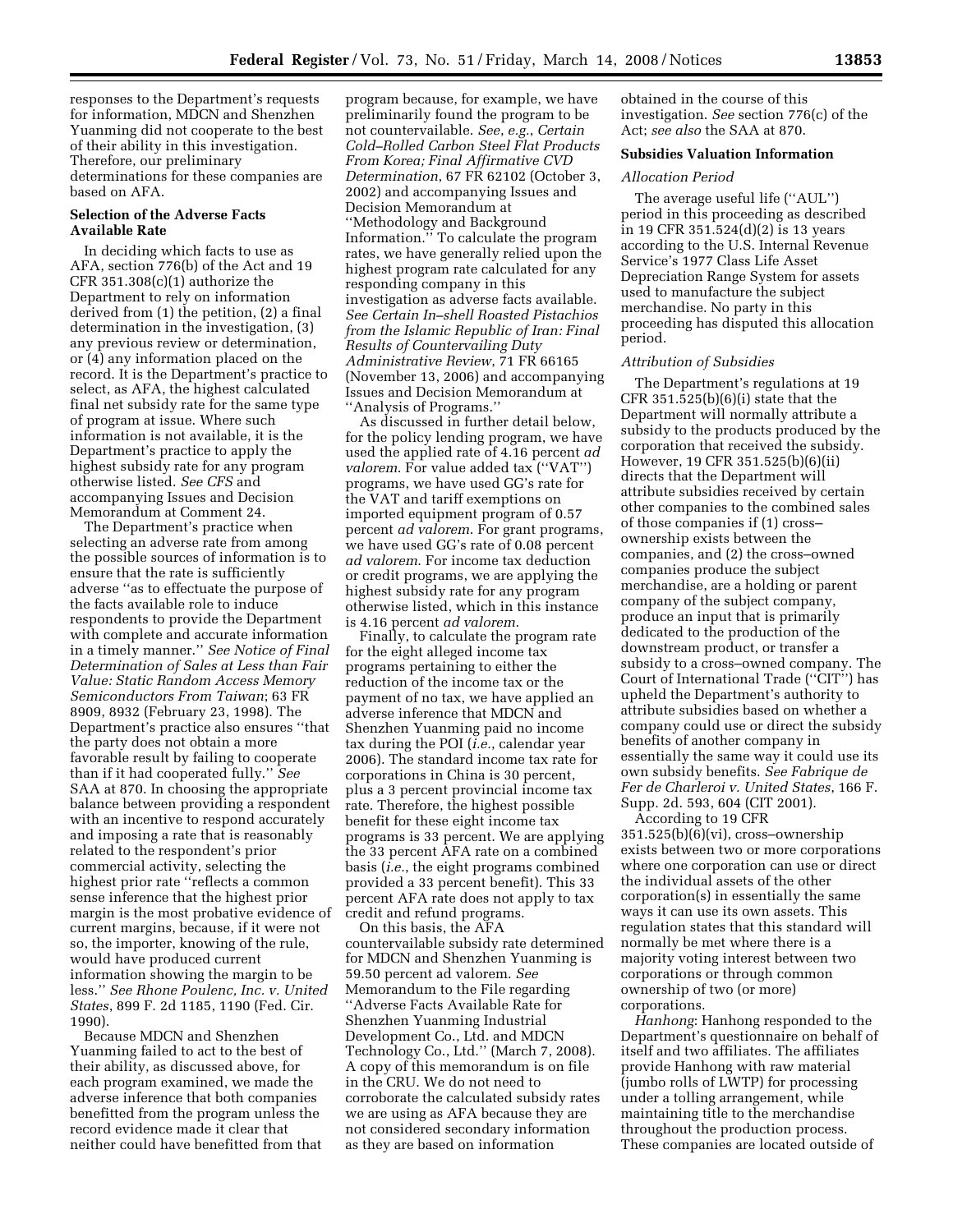responses to the Department's requests for information, MDCN and Shenzhen Yuanming did not cooperate to the best of their ability in this investigation. Therefore, our preliminary determinations for these companies are based on AFA.

### **Selection of the Adverse Facts Available Rate**

In deciding which facts to use as AFA, section 776(b) of the Act and 19 CFR  $351.308(c)(1)$  authorize the Department to rely on information derived from (1) the petition, (2) a final determination in the investigation, (3) any previous review or determination, or (4) any information placed on the record. It is the Department's practice to select, as AFA, the highest calculated final net subsidy rate for the same type of program at issue. Where such information is not available, it is the Department's practice to apply the highest subsidy rate for any program otherwise listed. *See CFS* and accompanying Issues and Decision Memorandum at Comment 24.

The Department's practice when selecting an adverse rate from among the possible sources of information is to ensure that the rate is sufficiently adverse ''as to effectuate the purpose of the facts available role to induce respondents to provide the Department with complete and accurate information in a timely manner.'' *See Notice of Final Determination of Sales at Less than Fair Value: Static Random Access Memory Semiconductors From Taiwan*; 63 FR 8909, 8932 (February 23, 1998). The Department's practice also ensures ''that the party does not obtain a more favorable result by failing to cooperate than if it had cooperated fully.'' *See*  SAA at 870. In choosing the appropriate balance between providing a respondent with an incentive to respond accurately and imposing a rate that is reasonably related to the respondent's prior commercial activity, selecting the highest prior rate ''reflects a common sense inference that the highest prior margin is the most probative evidence of current margins, because, if it were not so, the importer, knowing of the rule, would have produced current information showing the margin to be less.'' *See Rhone Poulenc, Inc. v. United States*, 899 F. 2d 1185, 1190 (Fed. Cir. 1990).

Because MDCN and Shenzhen Yuanming failed to act to the best of their ability, as discussed above, for each program examined, we made the adverse inference that both companies benefitted from the program unless the record evidence made it clear that neither could have benefitted from that

program because, for example, we have preliminarily found the program to be not countervailable. *See*, *e.g.*, *Certain Cold–Rolled Carbon Steel Flat Products From Korea; Final Affirmative CVD Determination*, 67 FR 62102 (October 3, 2002) and accompanying Issues and Decision Memorandum at ''Methodology and Background Information.'' To calculate the program rates, we have generally relied upon the highest program rate calculated for any responding company in this investigation as adverse facts available. *See Certain In–shell Roasted Pistachios from the Islamic Republic of Iran: Final Results of Countervailing Duty Administrative Review*, 71 FR 66165 (November 13, 2006) and accompanying Issues and Decision Memorandum at ''Analysis of Programs.''

As discussed in further detail below, for the policy lending program, we have used the applied rate of 4.16 percent *ad valorem*. For value added tax (''VAT'') programs, we have used GG's rate for the VAT and tariff exemptions on imported equipment program of 0.57 percent *ad valorem*. For grant programs, we have used GG's rate of 0.08 percent *ad valorem*. For income tax deduction or credit programs, we are applying the highest subsidy rate for any program otherwise listed, which in this instance is 4.16 percent *ad valorem*.

Finally, to calculate the program rate for the eight alleged income tax programs pertaining to either the reduction of the income tax or the payment of no tax, we have applied an adverse inference that MDCN and Shenzhen Yuanming paid no income tax during the POI (*i.e.*, calendar year 2006). The standard income tax rate for corporations in China is 30 percent, plus a 3 percent provincial income tax rate. Therefore, the highest possible benefit for these eight income tax programs is 33 percent. We are applying the 33 percent AFA rate on a combined basis (*i.e.*, the eight programs combined provided a 33 percent benefit). This 33 percent AFA rate does not apply to tax credit and refund programs.

On this basis, the AFA countervailable subsidy rate determined for MDCN and Shenzhen Yuanming is 59.50 percent ad valorem. *See*  Memorandum to the File regarding ''Adverse Facts Available Rate for Shenzhen Yuanming Industrial Development Co., Ltd. and MDCN Technology Co., Ltd.'' (March 7, 2008). A copy of this memorandum is on file in the CRU. We do not need to corroborate the calculated subsidy rates we are using as AFA because they are not considered secondary information as they are based on information

obtained in the course of this investigation. *See* section 776(c) of the Act; *see also* the SAA at 870.

#### **Subsidies Valuation Information**

## *Allocation Period*

The average useful life (''AUL'') period in this proceeding as described in 19 CFR 351.524(d)(2) is 13 years according to the U.S. Internal Revenue Service's 1977 Class Life Asset Depreciation Range System for assets used to manufacture the subject merchandise. No party in this proceeding has disputed this allocation period.

#### *Attribution of Subsidies*

The Department's regulations at 19 CFR  $351.525(b)(6)(i)$  state that the Department will normally attribute a subsidy to the products produced by the corporation that received the subsidy. However, 19 CFR 351.525(b)(6)(ii) directs that the Department will attribute subsidies received by certain other companies to the combined sales of those companies if (1) cross– ownership exists between the companies, and (2) the cross–owned companies produce the subject merchandise, are a holding or parent company of the subject company, produce an input that is primarily dedicated to the production of the downstream product, or transfer a subsidy to a cross–owned company. The Court of International Trade (''CIT'') has upheld the Department's authority to attribute subsidies based on whether a company could use or direct the subsidy benefits of another company in essentially the same way it could use its own subsidy benefits. *See Fabrique de Fer de Charleroi v. United States*, 166 F. Supp. 2d. 593, 604 (CIT 2001).

According to 19 CFR 351.525(b)(6)(vi), cross–ownership exists between two or more corporations where one corporation can use or direct the individual assets of the other corporation(s) in essentially the same ways it can use its own assets. This regulation states that this standard will normally be met where there is a majority voting interest between two corporations or through common ownership of two (or more) corporations.

*Hanhong*: Hanhong responded to the Department's questionnaire on behalf of itself and two affiliates. The affiliates provide Hanhong with raw material (jumbo rolls of LWTP) for processing under a tolling arrangement, while maintaining title to the merchandise throughout the production process. These companies are located outside of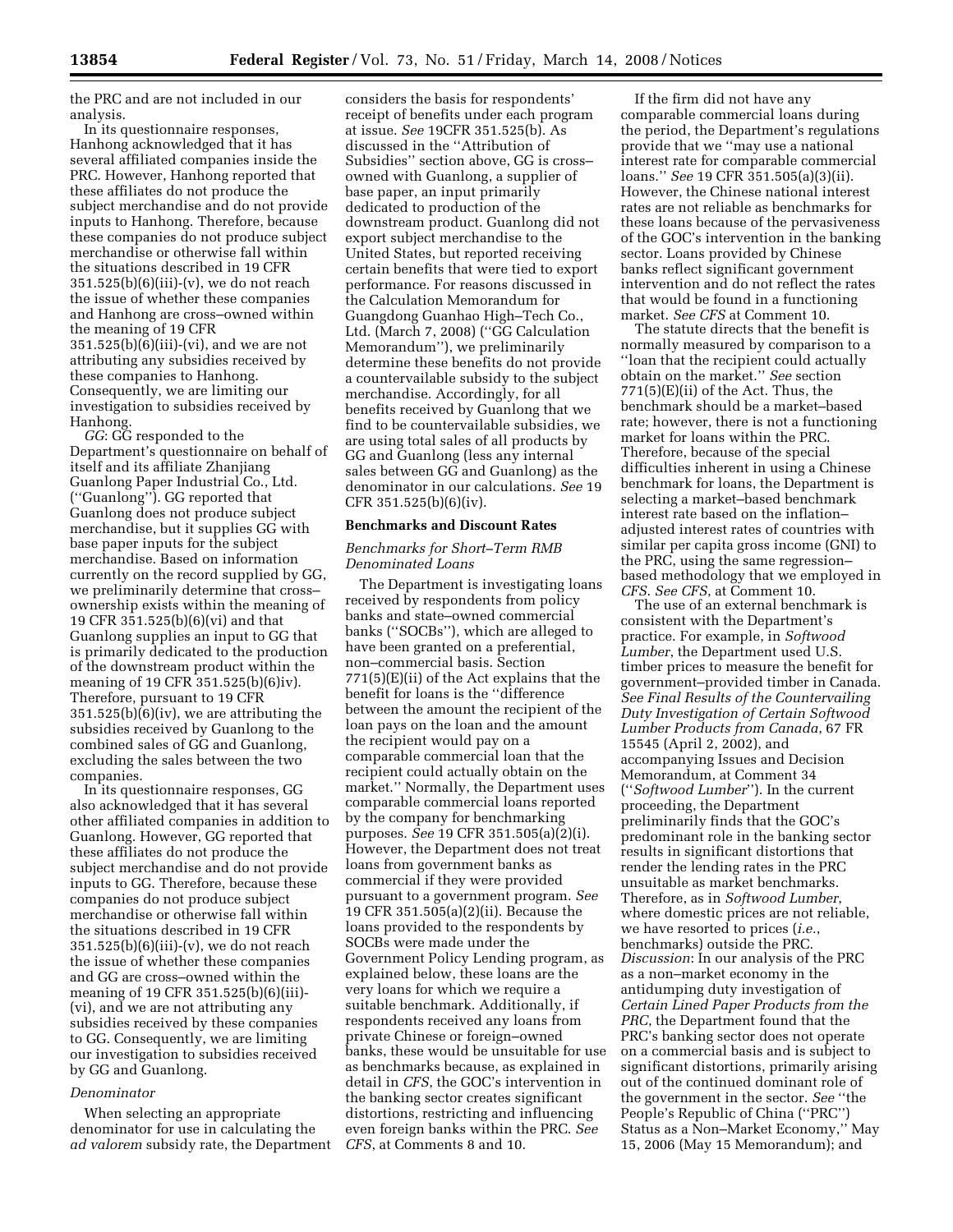the PRC and are not included in our analysis.

In its questionnaire responses, Hanhong acknowledged that it has several affiliated companies inside the PRC. However, Hanhong reported that these affiliates do not produce the subject merchandise and do not provide inputs to Hanhong. Therefore, because these companies do not produce subject merchandise or otherwise fall within the situations described in 19 CFR  $351.525(b)(6)(iii)-(v)$ , we do not reach the issue of whether these companies and Hanhong are cross–owned within the meaning of 19 CFR 351.525(b)(6)(iii)-(vi), and we are not attributing any subsidies received by these companies to Hanhong. Consequently, we are limiting our investigation to subsidies received by Hanhong.

*GG*: GG responded to the Department's questionnaire on behalf of itself and its affiliate Zhanjiang Guanlong Paper Industrial Co., Ltd. (''Guanlong''). GG reported that Guanlong does not produce subject merchandise, but it supplies GG with base paper inputs for the subject merchandise. Based on information currently on the record supplied by GG, we preliminarily determine that cross– ownership exists within the meaning of 19 CFR 351.525(b)(6)(vi) and that Guanlong supplies an input to GG that is primarily dedicated to the production of the downstream product within the meaning of 19 CFR 351.525(b)(6)iv). Therefore, pursuant to 19 CFR 351.525(b)(6)(iv), we are attributing the subsidies received by Guanlong to the combined sales of GG and Guanlong, excluding the sales between the two companies.

In its questionnaire responses, GG also acknowledged that it has several other affiliated companies in addition to Guanlong. However, GG reported that these affiliates do not produce the subject merchandise and do not provide inputs to GG. Therefore, because these companies do not produce subject merchandise or otherwise fall within the situations described in 19 CFR 351.525(b)(6)(iii)-(v), we do not reach the issue of whether these companies and GG are cross–owned within the meaning of 19 CFR 351.525(b)(6)(iii)- (vi), and we are not attributing any subsidies received by these companies to GG. Consequently, we are limiting our investigation to subsidies received by GG and Guanlong.

#### *Denominator*

When selecting an appropriate denominator for use in calculating the *ad valorem* subsidy rate, the Department

considers the basis for respondents' receipt of benefits under each program at issue. *See* 19CFR 351.525(b). As discussed in the ''Attribution of Subsidies'' section above, GG is cross– owned with Guanlong, a supplier of base paper, an input primarily dedicated to production of the downstream product. Guanlong did not export subject merchandise to the United States, but reported receiving certain benefits that were tied to export performance. For reasons discussed in the Calculation Memorandum for Guangdong Guanhao High–Tech Co., Ltd. (March 7, 2008) (''GG Calculation Memorandum''), we preliminarily determine these benefits do not provide a countervailable subsidy to the subject merchandise. Accordingly, for all benefits received by Guanlong that we find to be countervailable subsidies, we are using total sales of all products by GG and Guanlong (less any internal sales between GG and Guanlong) as the denominator in our calculations. *See* 19 CFR 351.525(b)(6)(iv).

#### **Benchmarks and Discount Rates**

## *Benchmarks for Short–Term RMB Denominated Loans*

The Department is investigating loans received by respondents from policy banks and state–owned commercial banks (''SOCBs''), which are alleged to have been granted on a preferential, non–commercial basis. Section 771(5)(E)(ii) of the Act explains that the benefit for loans is the ''difference between the amount the recipient of the loan pays on the loan and the amount the recipient would pay on a comparable commercial loan that the recipient could actually obtain on the market.'' Normally, the Department uses comparable commercial loans reported by the company for benchmarking purposes. *See* 19 CFR 351.505(a)(2)(i). However, the Department does not treat loans from government banks as commercial if they were provided pursuant to a government program. *See*  19 CFR 351.505(a)(2)(ii). Because the loans provided to the respondents by SOCBs were made under the Government Policy Lending program, as explained below, these loans are the very loans for which we require a suitable benchmark. Additionally, if respondents received any loans from private Chinese or foreign–owned banks, these would be unsuitable for use as benchmarks because, as explained in detail in *CFS*, the GOC's intervention in the banking sector creates significant distortions, restricting and influencing even foreign banks within the PRC. *See CFS*, at Comments 8 and 10.

If the firm did not have any comparable commercial loans during the period, the Department's regulations provide that we ''may use a national interest rate for comparable commercial loans.'' *See* 19 CFR 351.505(a)(3)(ii). However, the Chinese national interest rates are not reliable as benchmarks for these loans because of the pervasiveness of the GOC's intervention in the banking sector. Loans provided by Chinese banks reflect significant government intervention and do not reflect the rates that would be found in a functioning market. *See CFS* at Comment 10.

The statute directs that the benefit is normally measured by comparison to a ''loan that the recipient could actually obtain on the market.'' *See* section  $771(5)$ (E)(ii) of the Act. Thus, the benchmark should be a market–based rate; however, there is not a functioning market for loans within the PRC. Therefore, because of the special difficulties inherent in using a Chinese benchmark for loans, the Department is selecting a market–based benchmark interest rate based on the inflation– adjusted interest rates of countries with similar per capita gross income (GNI) to the PRC, using the same regression– based methodology that we employed in *CFS*. *See CFS*, at Comment 10.

The use of an external benchmark is consistent with the Department's practice. For example, in *Softwood Lumber*, the Department used U.S. timber prices to measure the benefit for government–provided timber in Canada. *See Final Results of the Countervailing Duty Investigation of Certain Softwood Lumber Products from Canada*, 67 FR 15545 (April 2, 2002), and accompanying Issues and Decision Memorandum, at Comment 34 (''*Softwood Lumber*''). In the current proceeding, the Department preliminarily finds that the GOC's predominant role in the banking sector results in significant distortions that render the lending rates in the PRC unsuitable as market benchmarks. Therefore, as in *Softwood Lumber*, where domestic prices are not reliable, we have resorted to prices (*i.e.*, benchmarks) outside the PRC. *Discussion*: In our analysis of the PRC as a non–market economy in the antidumping duty investigation of *Certain Lined Paper Products from the PRC*, the Department found that the PRC's banking sector does not operate on a commercial basis and is subject to significant distortions, primarily arising out of the continued dominant role of the government in the sector. *See* ''the People's Republic of China (''PRC'') Status as a Non–Market Economy,'' May 15, 2006 (May 15 Memorandum); and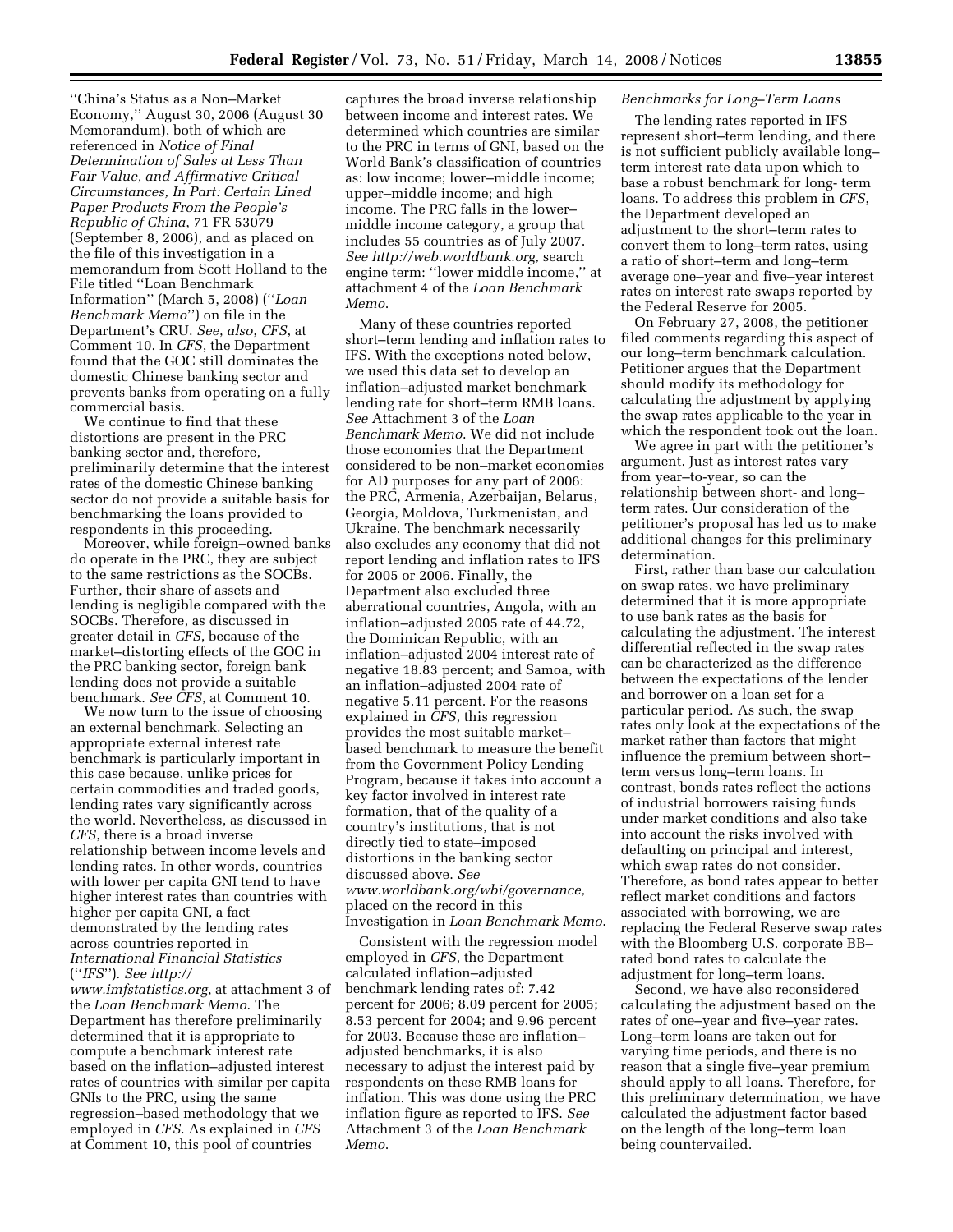''China's Status as a Non–Market Economy,'' August 30, 2006 (August 30 Memorandum), both of which are referenced in *Notice of Final Determination of Sales at Less Than Fair Value, and Affirmative Critical Circumstances, In Part: Certain Lined Paper Products From the People's Republic of China*, 71 FR 53079 (September 8, 2006), and as placed on the file of this investigation in a memorandum from Scott Holland to the File titled ''Loan Benchmark Information'' (March 5, 2008) (''*Loan Benchmark Memo*'') on file in the Department's CRU. *See*, *also*, *CFS*, at Comment 10. In *CFS*, the Department found that the GOC still dominates the domestic Chinese banking sector and prevents banks from operating on a fully commercial basis.

We continue to find that these distortions are present in the PRC banking sector and, therefore, preliminarily determine that the interest rates of the domestic Chinese banking sector do not provide a suitable basis for benchmarking the loans provided to respondents in this proceeding.

Moreover, while foreign–owned banks do operate in the PRC, they are subject to the same restrictions as the SOCBs. Further, their share of assets and lending is negligible compared with the SOCBs. Therefore, as discussed in greater detail in *CFS*, because of the market–distorting effects of the GOC in the PRC banking sector, foreign bank lending does not provide a suitable benchmark. *See CFS*, at Comment 10.

We now turn to the issue of choosing an external benchmark. Selecting an appropriate external interest rate benchmark is particularly important in this case because, unlike prices for certain commodities and traded goods, lending rates vary significantly across the world. Nevertheless, as discussed in *CFS*, there is a broad inverse relationship between income levels and lending rates. In other words, countries with lower per capita GNI tend to have higher interest rates than countries with higher per capita GNI, a fact demonstrated by the lending rates across countries reported in *International Financial Statistics*  (''*IFS*''). *See http://* 

*www.imfstatistics.org*, at attachment 3 of the *Loan Benchmark Memo*. The Department has therefore preliminarily determined that it is appropriate to compute a benchmark interest rate based on the inflation–adjusted interest rates of countries with similar per capita GNIs to the PRC, using the same regression–based methodology that we employed in *CFS*. As explained in *CFS*  at Comment 10, this pool of countries

captures the broad inverse relationship between income and interest rates. We determined which countries are similar to the PRC in terms of GNI, based on the World Bank's classification of countries as: low income; lower–middle income; upper–middle income; and high income. The PRC falls in the lower– middle income category, a group that includes 55 countries as of July 2007. *See http://web.worldbank.org,* search engine term: ''lower middle income,'' at attachment 4 of the *Loan Benchmark Memo*.

Many of these countries reported short–term lending and inflation rates to IFS. With the exceptions noted below, we used this data set to develop an inflation–adjusted market benchmark lending rate for short–term RMB loans. *See* Attachment 3 of the *Loan Benchmark Memo*. We did not include those economies that the Department considered to be non–market economies for AD purposes for any part of 2006: the PRC, Armenia, Azerbaijan, Belarus, Georgia, Moldova, Turkmenistan, and Ukraine. The benchmark necessarily also excludes any economy that did not report lending and inflation rates to IFS for 2005 or 2006. Finally, the Department also excluded three aberrational countries, Angola, with an inflation–adjusted 2005 rate of 44.72, the Dominican Republic, with an inflation–adjusted 2004 interest rate of negative 18.83 percent; and Samoa, with an inflation–adjusted 2004 rate of negative 5.11 percent. For the reasons explained in *CFS*, this regression provides the most suitable market– based benchmark to measure the benefit from the Government Policy Lending Program, because it takes into account a key factor involved in interest rate formation, that of the quality of a country's institutions, that is not directly tied to state–imposed distortions in the banking sector discussed above. *See www.worldbank.org/wbi/governance,*  placed on the record in this Investigation in *Loan Benchmark Memo*.

Consistent with the regression model employed in *CFS*, the Department calculated inflation–adjusted benchmark lending rates of: 7.42 percent for 2006; 8.09 percent for 2005; 8.53 percent for 2004; and 9.96 percent for 2003. Because these are inflation– adjusted benchmarks, it is also necessary to adjust the interest paid by respondents on these RMB loans for inflation. This was done using the PRC inflation figure as reported to IFS. *See*  Attachment 3 of the *Loan Benchmark Memo*.

### *Benchmarks for Long–Term Loans*

The lending rates reported in IFS represent short–term lending, and there is not sufficient publicly available long– term interest rate data upon which to base a robust benchmark for long- term loans. To address this problem in *CFS*, the Department developed an adjustment to the short–term rates to convert them to long–term rates, using a ratio of short–term and long–term average one–year and five–year interest rates on interest rate swaps reported by the Federal Reserve for 2005.

On February 27, 2008, the petitioner filed comments regarding this aspect of our long–term benchmark calculation. Petitioner argues that the Department should modify its methodology for calculating the adjustment by applying the swap rates applicable to the year in which the respondent took out the loan.

We agree in part with the petitioner's argument. Just as interest rates vary from year–to-year, so can the relationship between short- and long– term rates. Our consideration of the petitioner's proposal has led us to make additional changes for this preliminary determination.

First, rather than base our calculation on swap rates, we have preliminary determined that it is more appropriate to use bank rates as the basis for calculating the adjustment. The interest differential reflected in the swap rates can be characterized as the difference between the expectations of the lender and borrower on a loan set for a particular period. As such, the swap rates only look at the expectations of the market rather than factors that might influence the premium between short– term versus long–term loans. In contrast, bonds rates reflect the actions of industrial borrowers raising funds under market conditions and also take into account the risks involved with defaulting on principal and interest, which swap rates do not consider. Therefore, as bond rates appear to better reflect market conditions and factors associated with borrowing, we are replacing the Federal Reserve swap rates with the Bloomberg U.S. corporate BB– rated bond rates to calculate the adjustment for long–term loans.

Second, we have also reconsidered calculating the adjustment based on the rates of one–year and five–year rates. Long–term loans are taken out for varying time periods, and there is no reason that a single five–year premium should apply to all loans. Therefore, for this preliminary determination, we have calculated the adjustment factor based on the length of the long–term loan being countervailed.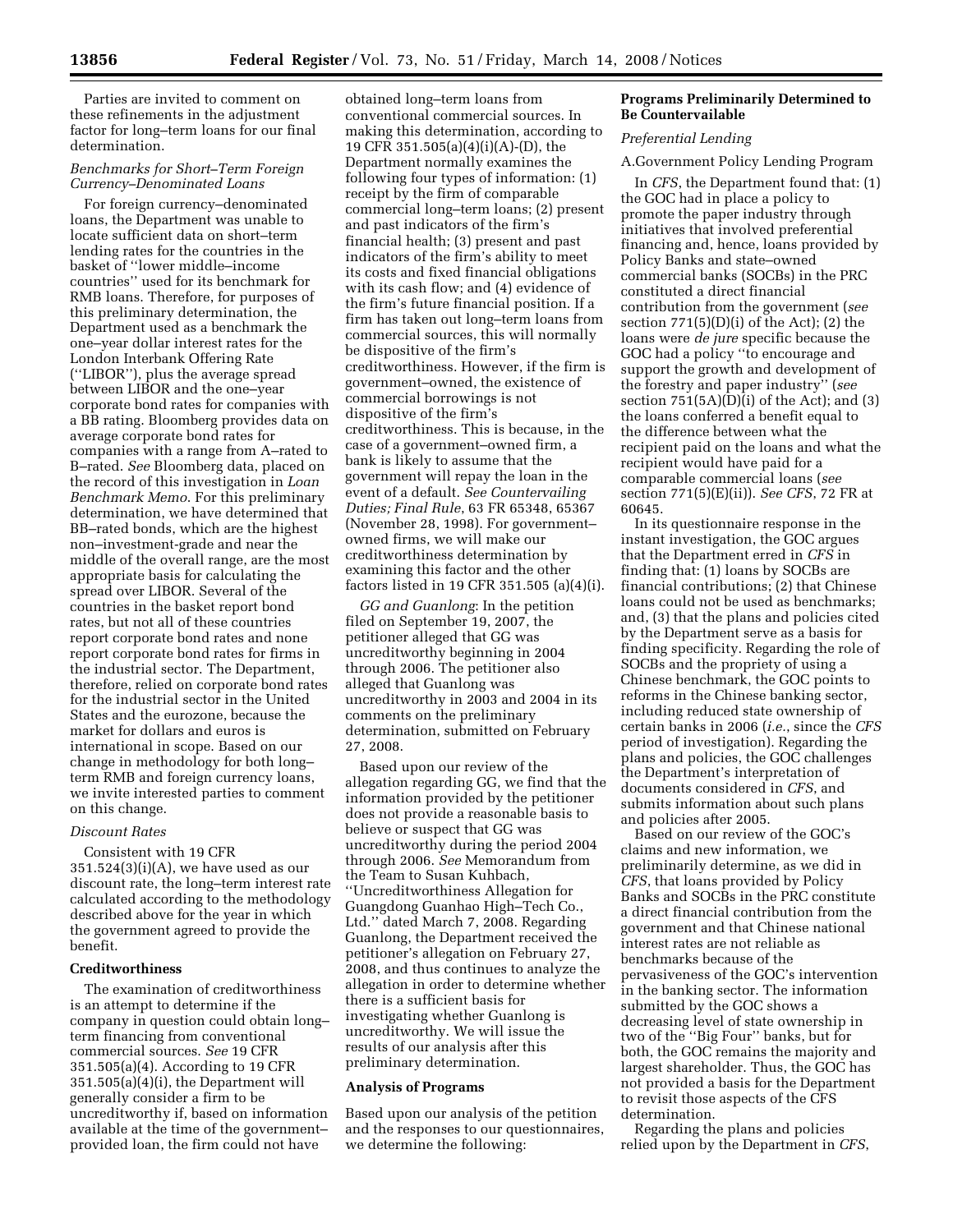Parties are invited to comment on these refinements in the adjustment factor for long–term loans for our final determination.

## *Benchmarks for Short–Term Foreign Currency–Denominated Loans*

For foreign currency–denominated loans, the Department was unable to locate sufficient data on short–term lending rates for the countries in the basket of ''lower middle–income countries'' used for its benchmark for RMB loans. Therefore, for purposes of this preliminary determination, the Department used as a benchmark the one–year dollar interest rates for the London Interbank Offering Rate (''LIBOR''), plus the average spread between LIBOR and the one–year corporate bond rates for companies with a BB rating. Bloomberg provides data on average corporate bond rates for companies with a range from A–rated to B–rated. *See* Bloomberg data, placed on the record of this investigation in *Loan Benchmark Memo*. For this preliminary determination, we have determined that BB–rated bonds, which are the highest non–investment-grade and near the middle of the overall range, are the most appropriate basis for calculating the spread over LIBOR. Several of the countries in the basket report bond rates, but not all of these countries report corporate bond rates and none report corporate bond rates for firms in the industrial sector. The Department, therefore, relied on corporate bond rates for the industrial sector in the United States and the eurozone, because the market for dollars and euros is international in scope. Based on our change in methodology for both long– term RMB and foreign currency loans, we invite interested parties to comment on this change.

#### *Discount Rates*

Consistent with 19 CFR  $351.524(3)(i)(A)$ , we have used as our discount rate, the long–term interest rate calculated according to the methodology described above for the year in which the government agreed to provide the benefit.

#### **Creditworthiness**

The examination of creditworthiness is an attempt to determine if the company in question could obtain long– term financing from conventional commercial sources. *See* 19 CFR 351.505(a)(4). According to 19 CFR 351.505(a)(4)(i), the Department will generally consider a firm to be uncreditworthy if, based on information available at the time of the government– provided loan, the firm could not have

obtained long–term loans from conventional commercial sources. In making this determination, according to 19 CFR 351.505(a)(4)(i)(A)-(D), the Department normally examines the following four types of information: (1) receipt by the firm of comparable commercial long–term loans; (2) present and past indicators of the firm's financial health; (3) present and past indicators of the firm's ability to meet its costs and fixed financial obligations with its cash flow; and (4) evidence of the firm's future financial position. If a firm has taken out long–term loans from commercial sources, this will normally be dispositive of the firm's creditworthiness. However, if the firm is government–owned, the existence of commercial borrowings is not dispositive of the firm's creditworthiness. This is because, in the case of a government–owned firm, a bank is likely to assume that the government will repay the loan in the event of a default. *See Countervailing Duties; Final Rule*, 63 FR 65348, 65367 (November 28, 1998). For government– owned firms, we will make our creditworthiness determination by examining this factor and the other factors listed in 19 CFR 351.505 (a)(4)(i).

*GG and Guanlong*: In the petition filed on September 19, 2007, the petitioner alleged that GG was uncreditworthy beginning in 2004 through 2006. The petitioner also alleged that Guanlong was uncreditworthy in 2003 and 2004 in its comments on the preliminary determination, submitted on February 27, 2008.

Based upon our review of the allegation regarding GG, we find that the information provided by the petitioner does not provide a reasonable basis to believe or suspect that GG was uncreditworthy during the period 2004 through 2006. *See* Memorandum from the Team to Susan Kuhbach, ''Uncreditworthiness Allegation for Guangdong Guanhao High–Tech Co., Ltd.'' dated March 7, 2008. Regarding Guanlong, the Department received the petitioner's allegation on February 27, 2008, and thus continues to analyze the allegation in order to determine whether there is a sufficient basis for investigating whether Guanlong is uncreditworthy. We will issue the results of our analysis after this preliminary determination.

#### **Analysis of Programs**

Based upon our analysis of the petition and the responses to our questionnaires, we determine the following:

### **Programs Preliminarily Determined to Be Countervailable**

### *Preferential Lending*

### A.Government Policy Lending Program

In *CFS*, the Department found that: (1) the GOC had in place a policy to promote the paper industry through initiatives that involved preferential financing and, hence, loans provided by Policy Banks and state–owned commercial banks (SOCBs) in the PRC constituted a direct financial contribution from the government (*see*  section  $771(5)(D)(i)$  of the Act); (2) the loans were *de jure* specific because the GOC had a policy ''to encourage and support the growth and development of the forestry and paper industry'' (*see*  section  $751(5A)(D)(i)$  of the Act); and  $(3)$ the loans conferred a benefit equal to the difference between what the recipient paid on the loans and what the recipient would have paid for a comparable commercial loans (*see*  section 771(5)(E)(ii)). *See CFS*, 72 FR at 60645.

In its questionnaire response in the instant investigation, the GOC argues that the Department erred in *CFS* in finding that: (1) loans by SOCBs are financial contributions; (2) that Chinese loans could not be used as benchmarks; and, (3) that the plans and policies cited by the Department serve as a basis for finding specificity. Regarding the role of SOCBs and the propriety of using a Chinese benchmark, the GOC points to reforms in the Chinese banking sector, including reduced state ownership of certain banks in 2006 (*i.e.*, since the *CFS*  period of investigation). Regarding the plans and policies, the GOC challenges the Department's interpretation of documents considered in *CFS*, and submits information about such plans and policies after 2005.

Based on our review of the GOC's claims and new information, we preliminarily determine, as we did in *CFS*, that loans provided by Policy Banks and SOCBs in the PRC constitute a direct financial contribution from the government and that Chinese national interest rates are not reliable as benchmarks because of the pervasiveness of the GOC's intervention in the banking sector. The information submitted by the GOC shows a decreasing level of state ownership in two of the ''Big Four'' banks, but for both, the GOC remains the majority and largest shareholder. Thus, the GOC has not provided a basis for the Department to revisit those aspects of the CFS determination.

Regarding the plans and policies relied upon by the Department in *CFS*,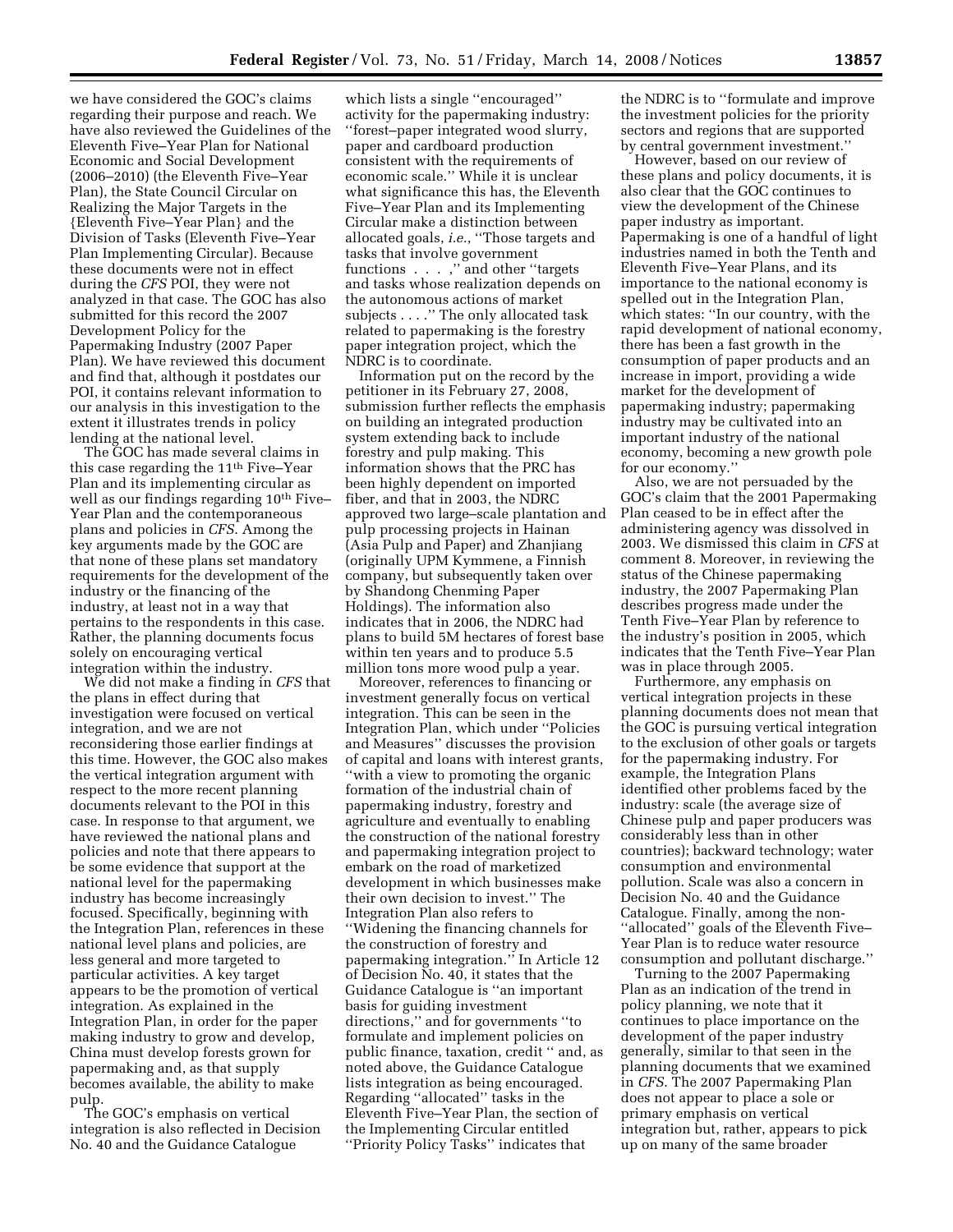we have considered the GOC's claims regarding their purpose and reach. We have also reviewed the Guidelines of the Eleventh Five–Year Plan for National Economic and Social Development (2006–2010) (the Eleventh Five–Year Plan), the State Council Circular on Realizing the Major Targets in the {Eleventh Five–Year Plan} and the Division of Tasks (Eleventh Five–Year Plan Implementing Circular). Because these documents were not in effect during the *CFS* POI, they were not analyzed in that case. The GOC has also submitted for this record the 2007 Development Policy for the Papermaking Industry (2007 Paper Plan). We have reviewed this document and find that, although it postdates our POI, it contains relevant information to our analysis in this investigation to the extent it illustrates trends in policy lending at the national level.

The GOC has made several claims in this case regarding the 11th Five–Year Plan and its implementing circular as well as our findings regarding 10<sup>th</sup> Five– Year Plan and the contemporaneous plans and policies in *CFS*. Among the key arguments made by the GOC are that none of these plans set mandatory requirements for the development of the industry or the financing of the industry, at least not in a way that pertains to the respondents in this case. Rather, the planning documents focus solely on encouraging vertical integration within the industry.

We did not make a finding in *CFS* that the plans in effect during that investigation were focused on vertical integration, and we are not reconsidering those earlier findings at this time. However, the GOC also makes the vertical integration argument with respect to the more recent planning documents relevant to the POI in this case. In response to that argument, we have reviewed the national plans and policies and note that there appears to be some evidence that support at the national level for the papermaking industry has become increasingly focused. Specifically, beginning with the Integration Plan, references in these national level plans and policies, are less general and more targeted to particular activities. A key target appears to be the promotion of vertical integration. As explained in the Integration Plan, in order for the paper making industry to grow and develop, China must develop forests grown for papermaking and, as that supply becomes available, the ability to make pulp.

The GOC's emphasis on vertical integration is also reflected in Decision No. 40 and the Guidance Catalogue

which lists a single ''encouraged'' activity for the papermaking industry: ''forest–paper integrated wood slurry, paper and cardboard production consistent with the requirements of economic scale.'' While it is unclear what significance this has, the Eleventh Five–Year Plan and its Implementing Circular make a distinction between allocated goals, *i.e.*, ''Those targets and tasks that involve government functions...,'' and other ''targets and tasks whose realization depends on the autonomous actions of market subjects . . . .'' The only allocated task related to papermaking is the forestry paper integration project, which the NDRC is to coordinate.

Information put on the record by the petitioner in its February 27, 2008, submission further reflects the emphasis on building an integrated production system extending back to include forestry and pulp making. This information shows that the PRC has been highly dependent on imported fiber, and that in 2003, the NDRC approved two large–scale plantation and pulp processing projects in Hainan (Asia Pulp and Paper) and Zhanjiang (originally UPM Kymmene, a Finnish company, but subsequently taken over by Shandong Chenming Paper Holdings). The information also indicates that in 2006, the NDRC had plans to build 5M hectares of forest base within ten years and to produce 5.5 million tons more wood pulp a year.

Moreover, references to financing or investment generally focus on vertical integration. This can be seen in the Integration Plan, which under ''Policies and Measures'' discusses the provision of capital and loans with interest grants, ''with a view to promoting the organic formation of the industrial chain of papermaking industry, forestry and agriculture and eventually to enabling the construction of the national forestry and papermaking integration project to embark on the road of marketized development in which businesses make their own decision to invest.'' The Integration Plan also refers to ''Widening the financing channels for the construction of forestry and papermaking integration.'' In Article 12 of Decision No. 40, it states that the Guidance Catalogue is ''an important basis for guiding investment directions,'' and for governments ''to formulate and implement policies on public finance, taxation, credit '' and, as noted above, the Guidance Catalogue lists integration as being encouraged. Regarding ''allocated'' tasks in the Eleventh Five–Year Plan, the section of the Implementing Circular entitled ''Priority Policy Tasks'' indicates that

the NDRC is to ''formulate and improve the investment policies for the priority sectors and regions that are supported by central government investment.''

However, based on our review of these plans and policy documents, it is also clear that the GOC continues to view the development of the Chinese paper industry as important. Papermaking is one of a handful of light industries named in both the Tenth and Eleventh Five–Year Plans, and its importance to the national economy is spelled out in the Integration Plan, which states: ''In our country, with the rapid development of national economy, there has been a fast growth in the consumption of paper products and an increase in import, providing a wide market for the development of papermaking industry; papermaking industry may be cultivated into an important industry of the national economy, becoming a new growth pole for our economy.''

Also, we are not persuaded by the GOC's claim that the 2001 Papermaking Plan ceased to be in effect after the administering agency was dissolved in 2003. We dismissed this claim in *CFS* at comment 8. Moreover, in reviewing the status of the Chinese papermaking industry, the 2007 Papermaking Plan describes progress made under the Tenth Five–Year Plan by reference to the industry's position in 2005, which indicates that the Tenth Five–Year Plan was in place through 2005.

Furthermore, any emphasis on vertical integration projects in these planning documents does not mean that the GOC is pursuing vertical integration to the exclusion of other goals or targets for the papermaking industry. For example, the Integration Plans identified other problems faced by the industry: scale (the average size of Chinese pulp and paper producers was considerably less than in other countries); backward technology; water consumption and environmental pollution. Scale was also a concern in Decision No. 40 and the Guidance Catalogue. Finally, among the non- ''allocated'' goals of the Eleventh Five– Year Plan is to reduce water resource consumption and pollutant discharge.''

Turning to the 2007 Papermaking Plan as an indication of the trend in policy planning, we note that it continues to place importance on the development of the paper industry generally, similar to that seen in the planning documents that we examined in *CFS*. The 2007 Papermaking Plan does not appear to place a sole or primary emphasis on vertical integration but, rather, appears to pick up on many of the same broader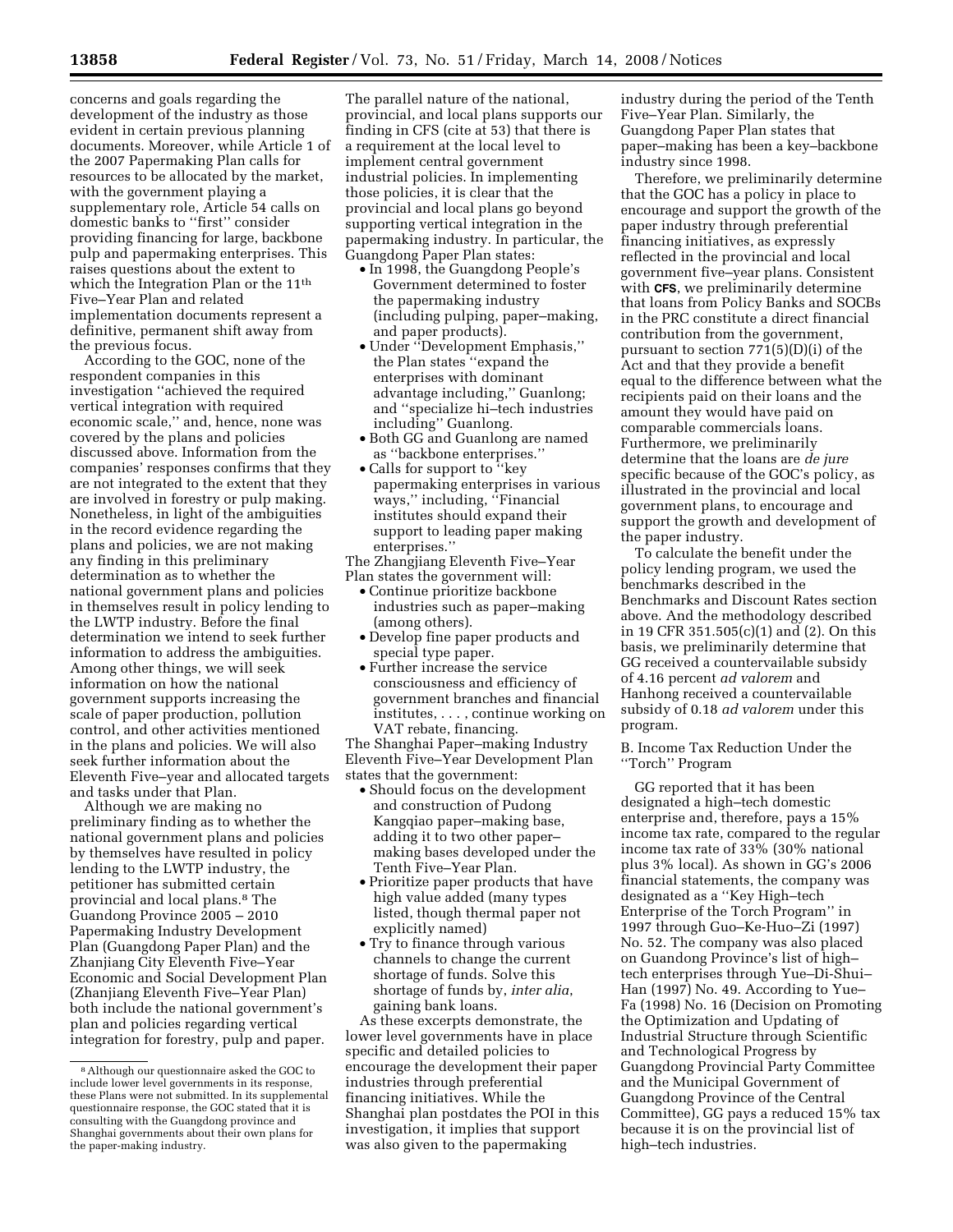concerns and goals regarding the development of the industry as those evident in certain previous planning documents. Moreover, while Article 1 of the 2007 Papermaking Plan calls for resources to be allocated by the market, with the government playing a supplementary role, Article 54 calls on domestic banks to ''first'' consider providing financing for large, backbone pulp and papermaking enterprises. This raises questions about the extent to which the Integration Plan or the 11<sup>th</sup> Five–Year Plan and related implementation documents represent a definitive, permanent shift away from the previous focus.

According to the GOC, none of the respondent companies in this investigation ''achieved the required vertical integration with required economic scale,'' and, hence, none was covered by the plans and policies discussed above. Information from the companies' responses confirms that they are not integrated to the extent that they are involved in forestry or pulp making. Nonetheless, in light of the ambiguities in the record evidence regarding the plans and policies, we are not making any finding in this preliminary determination as to whether the national government plans and policies in themselves result in policy lending to the LWTP industry. Before the final determination we intend to seek further information to address the ambiguities. Among other things, we will seek information on how the national government supports increasing the scale of paper production, pollution control, and other activities mentioned in the plans and policies. We will also seek further information about the Eleventh Five–year and allocated targets and tasks under that Plan.

Although we are making no preliminary finding as to whether the national government plans and policies by themselves have resulted in policy lending to the LWTP industry, the petitioner has submitted certain provincial and local plans.8 The Guandong Province 2005 – 2010 Papermaking Industry Development Plan (Guangdong Paper Plan) and the Zhanjiang City Eleventh Five–Year Economic and Social Development Plan (Zhanjiang Eleventh Five–Year Plan) both include the national government's plan and policies regarding vertical integration for forestry, pulp and paper.

The parallel nature of the national, provincial, and local plans supports our finding in CFS (cite at 53) that there is a requirement at the local level to implement central government industrial policies. In implementing those policies, it is clear that the provincial and local plans go beyond supporting vertical integration in the papermaking industry. In particular, the Guangdong Paper Plan states:

- In 1998, the Guangdong People's Government determined to foster the papermaking industry (including pulping, paper–making, and paper products).
- Under ''Development Emphasis,'' the Plan states ''expand the enterprises with dominant advantage including,'' Guanlong; and ''specialize hi–tech industries including'' Guanlong.
- Both GG and Guanlong are named as ''backbone enterprises.''
- Calls for support to ''key papermaking enterprises in various ways,'' including, ''Financial institutes should expand their support to leading paper making enterprises.''

The Zhangjiang Eleventh Five–Year Plan states the government will:

- Continue prioritize backbone industries such as paper–making (among others).
- Develop fine paper products and special type paper.
- Further increase the service consciousness and efficiency of government branches and financial institutes, . . . , continue working on VAT rebate, financing.

The Shanghai Paper–making Industry Eleventh Five–Year Development Plan states that the government:

- Should focus on the development and construction of Pudong Kangqiao paper–making base, adding it to two other paper– making bases developed under the Tenth Five–Year Plan.
- Prioritize paper products that have high value added (many types listed, though thermal paper not explicitly named)
- Try to finance through various channels to change the current shortage of funds. Solve this shortage of funds by, *inter alia*, gaining bank loans.

As these excerpts demonstrate, the lower level governments have in place specific and detailed policies to encourage the development their paper industries through preferential financing initiatives. While the Shanghai plan postdates the POI in this investigation, it implies that support was also given to the papermaking

industry during the period of the Tenth Five–Year Plan. Similarly, the Guangdong Paper Plan states that paper–making has been a key–backbone industry since 1998.

Therefore, we preliminarily determine that the GOC has a policy in place to encourage and support the growth of the paper industry through preferential financing initiatives, as expressly reflected in the provincial and local government five–year plans. Consistent with **CFS**, we preliminarily determine that loans from Policy Banks and SOCBs in the PRC constitute a direct financial contribution from the government, pursuant to section 771(5)(D)(i) of the Act and that they provide a benefit equal to the difference between what the recipients paid on their loans and the amount they would have paid on comparable commercials loans. Furthermore, we preliminarily determine that the loans are *de jure*  specific because of the GOC's policy, as illustrated in the provincial and local government plans, to encourage and support the growth and development of the paper industry.

To calculate the benefit under the policy lending program, we used the benchmarks described in the Benchmarks and Discount Rates section above. And the methodology described in 19 CFR 351.505(c)(1) and (2). On this basis, we preliminarily determine that GG received a countervailable subsidy of 4.16 percent *ad valorem* and Hanhong received a countervailable subsidy of 0.18 *ad valorem* under this program.

B. Income Tax Reduction Under the ''Torch'' Program

GG reported that it has been designated a high–tech domestic enterprise and, therefore, pays a 15% income tax rate, compared to the regular income tax rate of 33% (30% national plus 3% local). As shown in GG's 2006 financial statements, the company was designated as a ''Key High–tech Enterprise of the Torch Program'' in 1997 through Guo–Ke-Huo–Zi (1997) No. 52. The company was also placed on Guandong Province's list of high– tech enterprises through Yue–Di-Shui– Han (1997) No. 49. According to Yue– Fa (1998) No. 16 (Decision on Promoting the Optimization and Updating of Industrial Structure through Scientific and Technological Progress by Guangdong Provincial Party Committee and the Municipal Government of Guangdong Province of the Central Committee), GG pays a reduced 15% tax because it is on the provincial list of high–tech industries.

<sup>8</sup>Although our questionnaire asked the GOC to include lower level governments in its response, these Plans were not submitted. In its supplemental questionnaire response, the GOC stated that it is consulting with the Guangdong province and Shanghai governments about their own plans for the paper-making industry.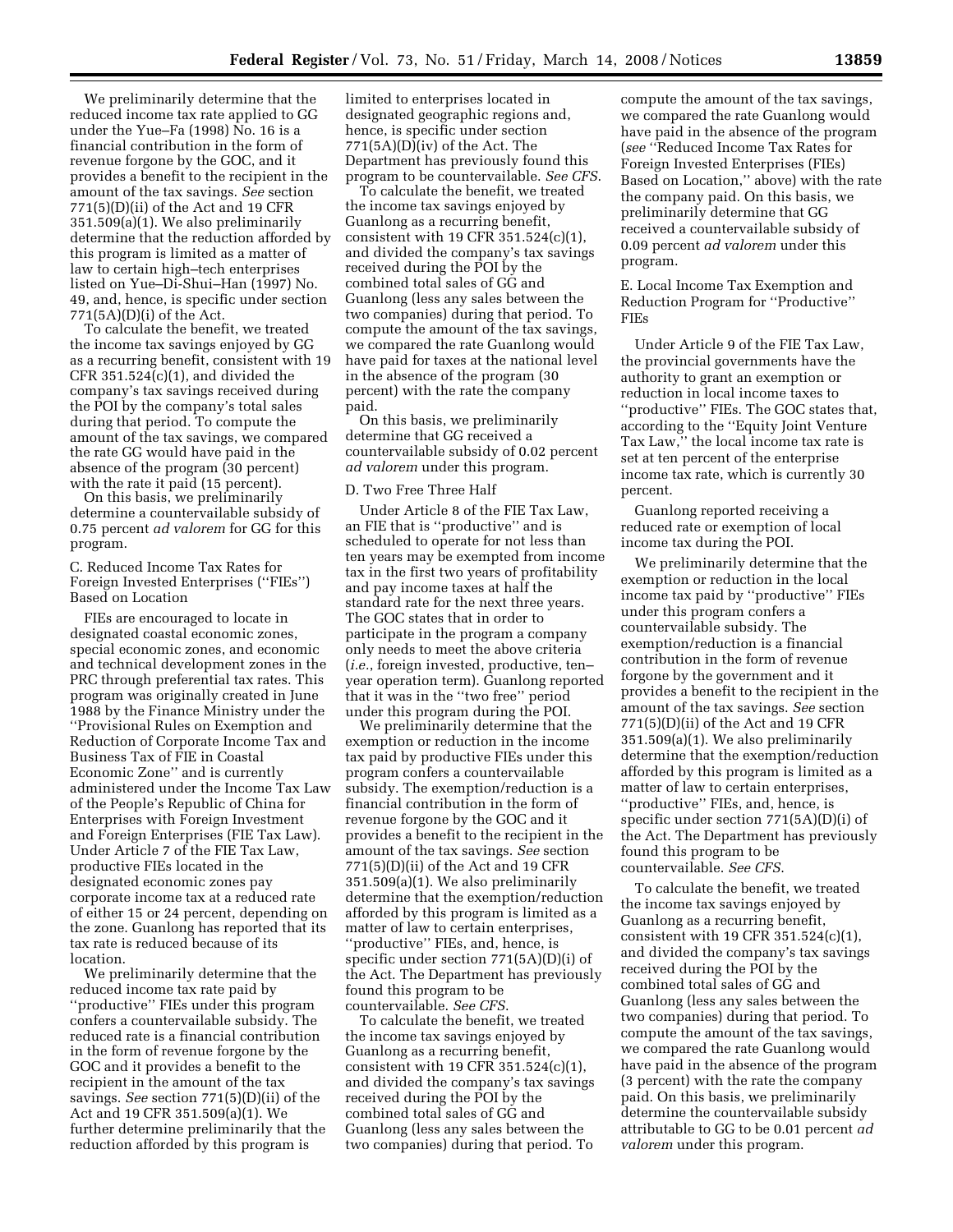We preliminarily determine that the reduced income tax rate applied to GG under the Yue–Fa (1998) No. 16 is a financial contribution in the form of revenue forgone by the GOC, and it provides a benefit to the recipient in the amount of the tax savings. *See* section 771(5)(D)(ii) of the Act and 19 CFR 351.509(a)(1). We also preliminarily determine that the reduction afforded by this program is limited as a matter of law to certain high–tech enterprises listed on Yue–Di-Shui–Han (1997) No. 49, and, hence, is specific under section  $771(5A)(D)(i)$  of the Act.

To calculate the benefit, we treated the income tax savings enjoyed by GG as a recurring benefit, consistent with 19 CFR 351.524(c)(1), and divided the company's tax savings received during the POI by the company's total sales during that period. To compute the amount of the tax savings, we compared the rate GG would have paid in the absence of the program (30 percent) with the rate it paid (15 percent).

On this basis, we preliminarily determine a countervailable subsidy of 0.75 percent *ad valorem* for GG for this program.

C. Reduced Income Tax Rates for Foreign Invested Enterprises (''FIEs'') Based on Location

FIEs are encouraged to locate in designated coastal economic zones, special economic zones, and economic and technical development zones in the PRC through preferential tax rates. This program was originally created in June 1988 by the Finance Ministry under the ''Provisional Rules on Exemption and Reduction of Corporate Income Tax and Business Tax of FIE in Coastal Economic Zone'' and is currently administered under the Income Tax Law of the People's Republic of China for Enterprises with Foreign Investment and Foreign Enterprises (FIE Tax Law). Under Article 7 of the FIE Tax Law, productive FIEs located in the designated economic zones pay corporate income tax at a reduced rate of either 15 or 24 percent, depending on the zone. Guanlong has reported that its tax rate is reduced because of its location.

We preliminarily determine that the reduced income tax rate paid by ''productive'' FIEs under this program confers a countervailable subsidy. The reduced rate is a financial contribution in the form of revenue forgone by the GOC and it provides a benefit to the recipient in the amount of the tax savings. *See* section 771(5)(D)(ii) of the Act and 19 CFR 351.509(a)(1). We further determine preliminarily that the reduction afforded by this program is

limited to enterprises located in designated geographic regions and, hence, is specific under section 771(5A)(D)(iv) of the Act. The Department has previously found this program to be countervailable. *See CFS*.

To calculate the benefit, we treated the income tax savings enjoyed by Guanlong as a recurring benefit, consistent with 19 CFR 351.524(c)(1), and divided the company's tax savings received during the POI by the combined total sales of GG and Guanlong (less any sales between the two companies) during that period. To compute the amount of the tax savings, we compared the rate Guanlong would have paid for taxes at the national level in the absence of the program (30 percent) with the rate the company paid.

On this basis, we preliminarily determine that GG received a countervailable subsidy of 0.02 percent *ad valorem* under this program.

#### D. Two Free Three Half

Under Article 8 of the FIE Tax Law, an FIE that is ''productive'' and is scheduled to operate for not less than ten years may be exempted from income tax in the first two years of profitability and pay income taxes at half the standard rate for the next three years. The GOC states that in order to participate in the program a company only needs to meet the above criteria (*i.e.*, foreign invested, productive, ten– year operation term). Guanlong reported that it was in the ''two free'' period under this program during the POI.

We preliminarily determine that the exemption or reduction in the income tax paid by productive FIEs under this program confers a countervailable subsidy. The exemption/reduction is a financial contribution in the form of revenue forgone by the GOC and it provides a benefit to the recipient in the amount of the tax savings. *See* section  $771(5)(D)(ii)$  of the Act and 19 CFR 351.509(a)(1). We also preliminarily determine that the exemption/reduction afforded by this program is limited as a matter of law to certain enterprises, ''productive'' FIEs, and, hence, is specific under section 771(5A)(D)(i) of the Act. The Department has previously found this program to be countervailable. *See CFS*.

To calculate the benefit, we treated the income tax savings enjoyed by Guanlong as a recurring benefit, consistent with 19 CFR 351.524(c)(1), and divided the company's tax savings received during the POI by the combined total sales of GG and Guanlong (less any sales between the two companies) during that period. To

compute the amount of the tax savings, we compared the rate Guanlong would have paid in the absence of the program (*see* ''Reduced Income Tax Rates for Foreign Invested Enterprises (FIEs) Based on Location,'' above) with the rate the company paid. On this basis, we preliminarily determine that GG received a countervailable subsidy of 0.09 percent *ad valorem* under this program.

E. Local Income Tax Exemption and Reduction Program for ''Productive'' FIEs

Under Article 9 of the FIE Tax Law, the provincial governments have the authority to grant an exemption or reduction in local income taxes to ''productive'' FIEs. The GOC states that, according to the ''Equity Joint Venture Tax Law,'' the local income tax rate is set at ten percent of the enterprise income tax rate, which is currently 30 percent.

Guanlong reported receiving a reduced rate or exemption of local income tax during the POI.

We preliminarily determine that the exemption or reduction in the local income tax paid by ''productive'' FIEs under this program confers a countervailable subsidy. The exemption/reduction is a financial contribution in the form of revenue forgone by the government and it provides a benefit to the recipient in the amount of the tax savings. *See* section  $771(5)(D)(ii)$  of the Act and 19 CFR 351.509(a)(1). We also preliminarily determine that the exemption/reduction afforded by this program is limited as a matter of law to certain enterprises, ''productive'' FIEs, and, hence, is specific under section 771(5A)(D)(i) of the Act. The Department has previously found this program to be countervailable. *See CFS*.

To calculate the benefit, we treated the income tax savings enjoyed by Guanlong as a recurring benefit, consistent with 19 CFR 351.524(c)(1), and divided the company's tax savings received during the POI by the combined total sales of GG and Guanlong (less any sales between the two companies) during that period. To compute the amount of the tax savings, we compared the rate Guanlong would have paid in the absence of the program (3 percent) with the rate the company paid. On this basis, we preliminarily determine the countervailable subsidy attributable to GG to be 0.01 percent *ad valorem* under this program.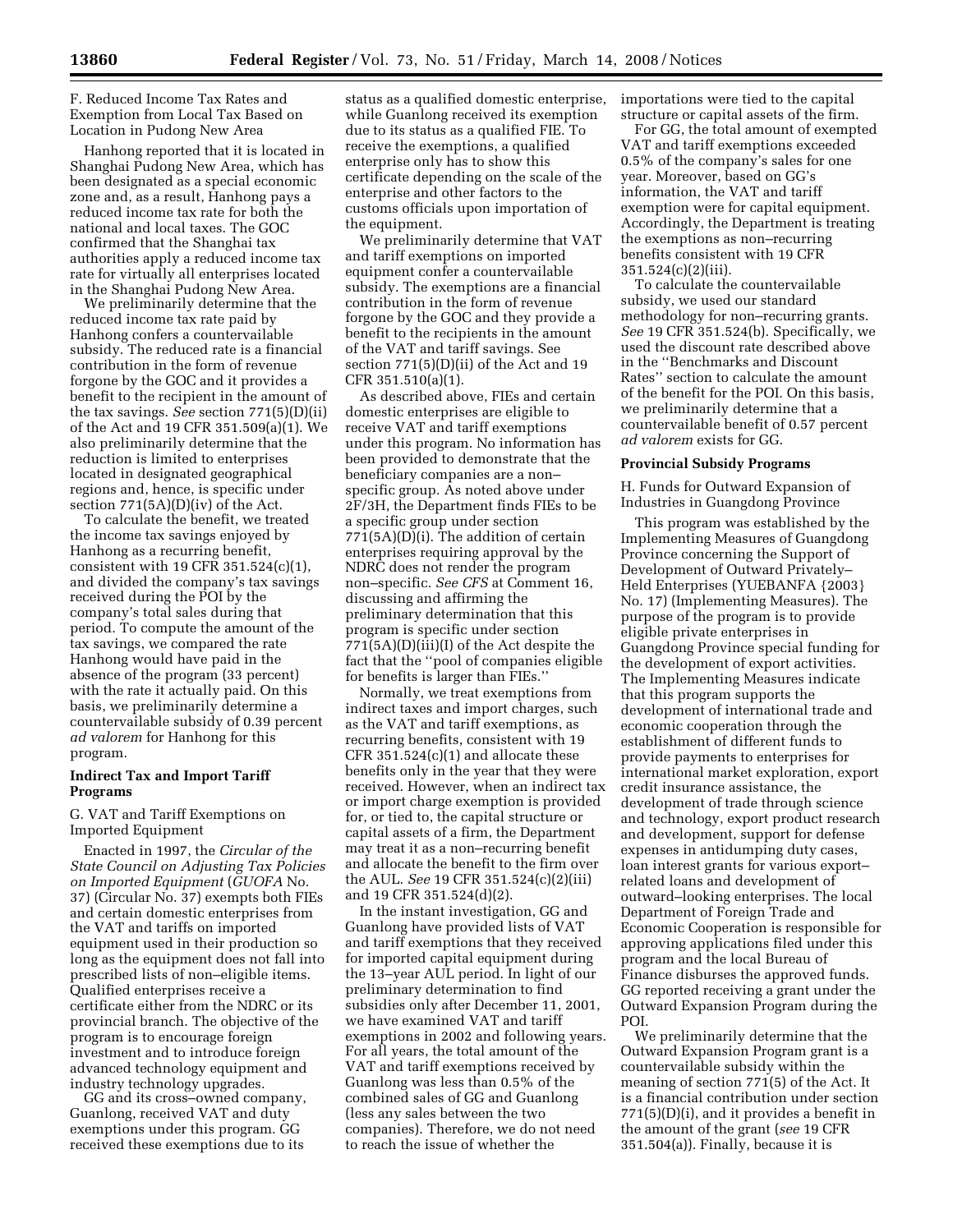F. Reduced Income Tax Rates and Exemption from Local Tax Based on Location in Pudong New Area

Hanhong reported that it is located in Shanghai Pudong New Area, which has been designated as a special economic zone and, as a result, Hanhong pays a reduced income tax rate for both the national and local taxes. The GOC confirmed that the Shanghai tax authorities apply a reduced income tax rate for virtually all enterprises located in the Shanghai Pudong New Area.

We preliminarily determine that the reduced income tax rate paid by Hanhong confers a countervailable subsidy. The reduced rate is a financial contribution in the form of revenue forgone by the GOC and it provides a benefit to the recipient in the amount of the tax savings. *See* section 771(5)(D)(ii) of the Act and 19 CFR 351.509(a)(1). We also preliminarily determine that the reduction is limited to enterprises located in designated geographical regions and, hence, is specific under section 771(5A)(D)(iv) of the Act.

To calculate the benefit, we treated the income tax savings enjoyed by Hanhong as a recurring benefit, consistent with 19 CFR 351.524(c)(1), and divided the company's tax savings received during the POI by the company's total sales during that period. To compute the amount of the tax savings, we compared the rate Hanhong would have paid in the absence of the program (33 percent) with the rate it actually paid. On this basis, we preliminarily determine a countervailable subsidy of 0.39 percent *ad valorem* for Hanhong for this program.

#### **Indirect Tax and Import Tariff Programs**

G. VAT and Tariff Exemptions on Imported Equipment

Enacted in 1997, the *Circular of the State Council on Adjusting Tax Policies on Imported Equipment* (*GUOFA* No. 37) (Circular No. 37) exempts both FIEs and certain domestic enterprises from the VAT and tariffs on imported equipment used in their production so long as the equipment does not fall into prescribed lists of non–eligible items. Qualified enterprises receive a certificate either from the NDRC or its provincial branch. The objective of the program is to encourage foreign investment and to introduce foreign advanced technology equipment and industry technology upgrades.

GG and its cross–owned company, Guanlong, received VAT and duty exemptions under this program. GG received these exemptions due to its

status as a qualified domestic enterprise, while Guanlong received its exemption due to its status as a qualified FIE. To receive the exemptions, a qualified enterprise only has to show this certificate depending on the scale of the enterprise and other factors to the customs officials upon importation of the equipment.

We preliminarily determine that VAT and tariff exemptions on imported equipment confer a countervailable subsidy. The exemptions are a financial contribution in the form of revenue forgone by the GOC and they provide a benefit to the recipients in the amount of the VAT and tariff savings. See section 771(5)(D)(ii) of the Act and 19 CFR 351.510(a)(1).

As described above, FIEs and certain domestic enterprises are eligible to receive VAT and tariff exemptions under this program. No information has been provided to demonstrate that the beneficiary companies are a non– specific group. As noted above under 2F/3H, the Department finds FIEs to be a specific group under section 771(5A)(D)(i). The addition of certain enterprises requiring approval by the NDRC does not render the program non–specific. *See CFS* at Comment 16, discussing and affirming the preliminary determination that this program is specific under section 771(5A)(D)(iii)(I) of the Act despite the fact that the ''pool of companies eligible for benefits is larger than FIEs.''

Normally, we treat exemptions from indirect taxes and import charges, such as the VAT and tariff exemptions, as recurring benefits, consistent with 19 CFR  $351.524(c)(1)$  and allocate these benefits only in the year that they were received. However, when an indirect tax or import charge exemption is provided for, or tied to, the capital structure or capital assets of a firm, the Department may treat it as a non–recurring benefit and allocate the benefit to the firm over the AUL. *See* 19 CFR 351.524(c)(2)(iii) and 19 CFR 351.524(d)(2).

In the instant investigation, GG and Guanlong have provided lists of VAT and tariff exemptions that they received for imported capital equipment during the 13–year AUL period. In light of our preliminary determination to find subsidies only after December 11, 2001, we have examined VAT and tariff exemptions in 2002 and following years. For all years, the total amount of the VAT and tariff exemptions received by Guanlong was less than 0.5% of the combined sales of GG and Guanlong (less any sales between the two companies). Therefore, we do not need to reach the issue of whether the

importations were tied to the capital structure or capital assets of the firm.

For GG, the total amount of exempted VAT and tariff exemptions exceeded 0.5% of the company's sales for one year. Moreover, based on GG's information, the VAT and tariff exemption were for capital equipment. Accordingly, the Department is treating the exemptions as non–recurring benefits consistent with 19 CFR  $351.524(c)(2)(iii)$ .

To calculate the countervailable subsidy, we used our standard methodology for non–recurring grants. *See* 19 CFR 351.524(b). Specifically, we used the discount rate described above in the ''Benchmarks and Discount Rates'' section to calculate the amount of the benefit for the POI. On this basis, we preliminarily determine that a countervailable benefit of 0.57 percent *ad valorem* exists for GG.

### **Provincial Subsidy Programs**

H. Funds for Outward Expansion of Industries in Guangdong Province

This program was established by the Implementing Measures of Guangdong Province concerning the Support of Development of Outward Privately– Held Enterprises (YUEBANFA {2003} No. 17) (Implementing Measures). The purpose of the program is to provide eligible private enterprises in Guangdong Province special funding for the development of export activities. The Implementing Measures indicate that this program supports the development of international trade and economic cooperation through the establishment of different funds to provide payments to enterprises for international market exploration, export credit insurance assistance, the development of trade through science and technology, export product research and development, support for defense expenses in antidumping duty cases, loan interest grants for various export– related loans and development of outward–looking enterprises. The local Department of Foreign Trade and Economic Cooperation is responsible for approving applications filed under this program and the local Bureau of Finance disburses the approved funds. GG reported receiving a grant under the Outward Expansion Program during the POI.

We preliminarily determine that the Outward Expansion Program grant is a countervailable subsidy within the meaning of section 771(5) of the Act. It is a financial contribution under section 771(5)(D)(i), and it provides a benefit in the amount of the grant (*see* 19 CFR 351.504(a)). Finally, because it is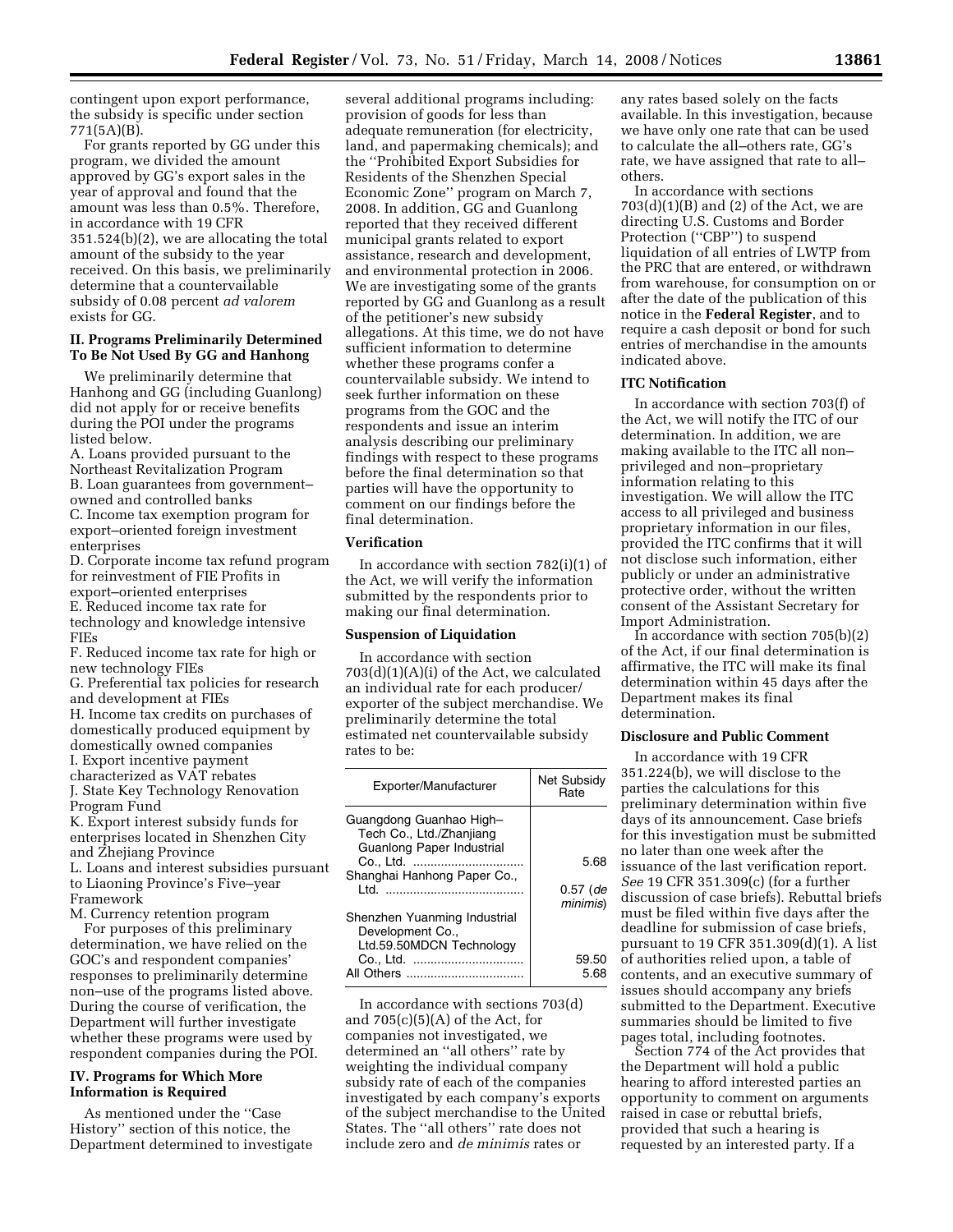contingent upon export performance, the subsidy is specific under section 771(5A)(B).

For grants reported by GG under this program, we divided the amount approved by GG's export sales in the year of approval and found that the amount was less than 0.5%. Therefore, in accordance with 19 CFR 351.524(b)(2), we are allocating the total amount of the subsidy to the year received. On this basis, we preliminarily determine that a countervailable subsidy of 0.08 percent *ad valorem*  exists for GG.

## **II. Programs Preliminarily Determined To Be Not Used By GG and Hanhong**

We preliminarily determine that Hanhong and GG (including Guanlong) did not apply for or receive benefits during the POI under the programs listed below.

A. Loans provided pursuant to the Northeast Revitalization Program B. Loan guarantees from government– owned and controlled banks C. Income tax exemption program for export–oriented foreign investment enterprises

D. Corporate income tax refund program for reinvestment of FIE Profits in export–oriented enterprises E. Reduced income tax rate for technology and knowledge intensive

FIEs F. Reduced income tax rate for high or new technology FIEs

G. Preferential tax policies for research and development at FIEs H. Income tax credits on purchases of domestically produced equipment by domestically owned companies I. Export incentive payment

characterized as VAT rebates J. State Key Technology Renovation Program Fund

K. Export interest subsidy funds for enterprises located in Shenzhen City and Zhejiang Province

L. Loans and interest subsidies pursuant to Liaoning Province's Five–year Framework

M. Currency retention program

For purposes of this preliminary determination, we have relied on the GOC's and respondent companies' responses to preliminarily determine non–use of the programs listed above. During the course of verification, the Department will further investigate whether these programs were used by respondent companies during the POI.

## **IV. Programs for Which More Information is Required**

As mentioned under the ''Case History'' section of this notice, the Department determined to investigate

several additional programs including: provision of goods for less than adequate remuneration (for electricity, land, and papermaking chemicals); and the ''Prohibited Export Subsidies for Residents of the Shenzhen Special Economic Zone'' program on March 7, 2008. In addition, GG and Guanlong reported that they received different municipal grants related to export assistance, research and development, and environmental protection in 2006. We are investigating some of the grants reported by GG and Guanlong as a result of the petitioner's new subsidy allegations. At this time, we do not have sufficient information to determine whether these programs confer a countervailable subsidy. We intend to seek further information on these programs from the GOC and the respondents and issue an interim analysis describing our preliminary findings with respect to these programs before the final determination so that parties will have the opportunity to comment on our findings before the final determination.

#### **Verification**

In accordance with section 782(i)(1) of the Act, we will verify the information submitted by the respondents prior to making our final determination.

#### **Suspension of Liquidation**

In accordance with section 703(d)(1)(A)(i) of the Act, we calculated an individual rate for each producer/ exporter of the subject merchandise. We preliminarily determine the total estimated net countervailable subsidy rates to be:

| Exporter/Manufacturer                                                            | Net Subsidy<br>Rate    |
|----------------------------------------------------------------------------------|------------------------|
| Guangdong Guanhao High-<br>Tech Co., Ltd./Zhanjiang<br>Guanlong Paper Industrial |                        |
| Co., Ltd.                                                                        | 5.68                   |
| Shanghai Hanhong Paper Co.,<br>.ht I                                             | $0.57$ (de<br>minimis) |
| Shenzhen Yuanming Industrial<br>Development Co.,<br>Ltd.59.50MDCN Technology     |                        |
|                                                                                  | 59.50                  |
|                                                                                  | 5.68                   |

In accordance with sections 703(d) and  $705(c)(5)(A)$  of the Act, for companies not investigated, we determined an ''all others'' rate by weighting the individual company subsidy rate of each of the companies investigated by each company's exports of the subject merchandise to the United States. The ''all others'' rate does not include zero and *de minimis* rates or

any rates based solely on the facts available. In this investigation, because we have only one rate that can be used to calculate the all–others rate, GG's rate, we have assigned that rate to all– others.

In accordance with sections  $703(d)(1)(B)$  and  $(2)$  of the Act, we are directing U.S. Customs and Border Protection ("CBP") to suspend liquidation of all entries of LWTP from the PRC that are entered, or withdrawn from warehouse, for consumption on or after the date of the publication of this notice in the **Federal Register**, and to require a cash deposit or bond for such entries of merchandise in the amounts indicated above.

## **ITC Notification**

In accordance with section 703(f) of the Act, we will notify the ITC of our determination. In addition, we are making available to the ITC all non– privileged and non–proprietary information relating to this investigation. We will allow the ITC access to all privileged and business proprietary information in our files, provided the ITC confirms that it will not disclose such information, either publicly or under an administrative protective order, without the written consent of the Assistant Secretary for Import Administration.

In accordance with section  $705(b)(2)$ of the Act, if our final determination is affirmative, the ITC will make its final determination within 45 days after the Department makes its final determination.

## **Disclosure and Public Comment**

In accordance with 19 CFR 351.224(b), we will disclose to the parties the calculations for this preliminary determination within five days of its announcement. Case briefs for this investigation must be submitted no later than one week after the issuance of the last verification report. *See* 19 CFR 351.309(c) (for a further discussion of case briefs). Rebuttal briefs must be filed within five days after the deadline for submission of case briefs, pursuant to 19 CFR 351.309(d)(1). A list of authorities relied upon, a table of contents, and an executive summary of issues should accompany any briefs submitted to the Department. Executive summaries should be limited to five pages total, including footnotes.

Section 774 of the Act provides that the Department will hold a public hearing to afford interested parties an opportunity to comment on arguments raised in case or rebuttal briefs, provided that such a hearing is requested by an interested party. If a